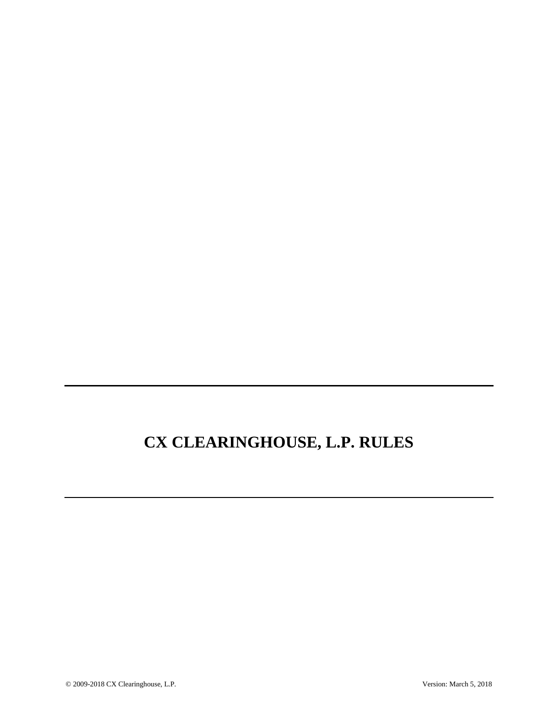# **CX CLEARINGHOUSE, L.P. RULES**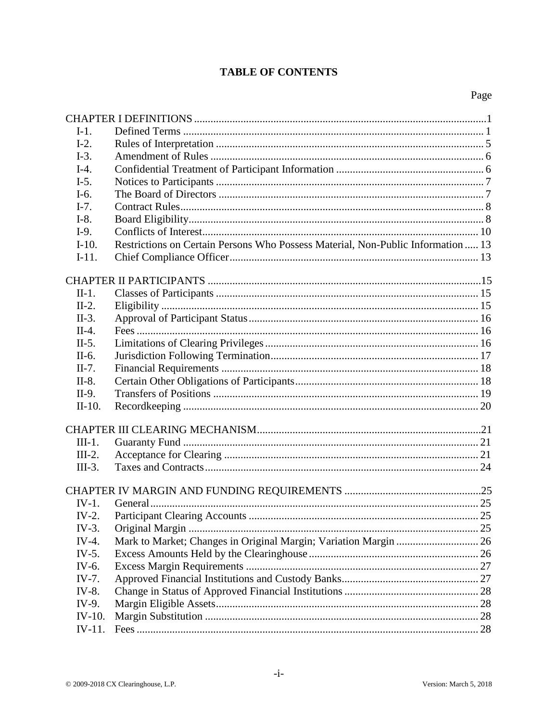# **TABLE OF CONTENTS**

| $I-1$ .   |                                                                                  |  |  |
|-----------|----------------------------------------------------------------------------------|--|--|
| $I-2.$    |                                                                                  |  |  |
| $I-3.$    |                                                                                  |  |  |
| $I-4.$    |                                                                                  |  |  |
| $I-5.$    |                                                                                  |  |  |
| $I-6.$    |                                                                                  |  |  |
| $I-7.$    |                                                                                  |  |  |
| $I-8.$    |                                                                                  |  |  |
| $I-9.$    |                                                                                  |  |  |
| $I-10.$   | Restrictions on Certain Persons Who Possess Material, Non-Public Information  13 |  |  |
| $I-11.$   |                                                                                  |  |  |
|           |                                                                                  |  |  |
|           |                                                                                  |  |  |
| $II-1.$   |                                                                                  |  |  |
| $II-2.$   |                                                                                  |  |  |
| $II-3.$   |                                                                                  |  |  |
| $II-4.$   |                                                                                  |  |  |
| $II-5.$   |                                                                                  |  |  |
| II-6.     |                                                                                  |  |  |
| $II-7.$   |                                                                                  |  |  |
| $II-8.$   |                                                                                  |  |  |
| II-9.     |                                                                                  |  |  |
| $II-10.$  |                                                                                  |  |  |
|           |                                                                                  |  |  |
| $III-1.$  |                                                                                  |  |  |
| $III-2.$  |                                                                                  |  |  |
| $III-3.$  |                                                                                  |  |  |
|           |                                                                                  |  |  |
|           |                                                                                  |  |  |
| $IV-1.$   |                                                                                  |  |  |
| $IV-2.$   |                                                                                  |  |  |
| $IV-3.$   |                                                                                  |  |  |
| $IV-4.$   | Mark to Market; Changes in Original Margin; Variation Margin  26                 |  |  |
| $IV-5.$   |                                                                                  |  |  |
| IV- $6$ . |                                                                                  |  |  |
| $IV-7.$   |                                                                                  |  |  |
| IV-8.     |                                                                                  |  |  |
| IV-9.     |                                                                                  |  |  |
| $IV-10.$  |                                                                                  |  |  |
| IV-11.    |                                                                                  |  |  |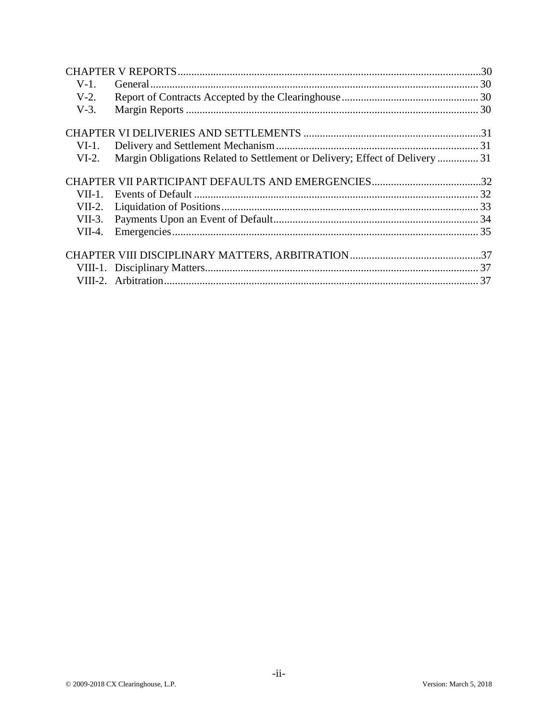| $V-1$ .   |                                                                              |  |
|-----------|------------------------------------------------------------------------------|--|
| $V-2.$    |                                                                              |  |
| $V-3$ .   |                                                                              |  |
|           |                                                                              |  |
| VI-1.     |                                                                              |  |
| $VI-2$ .  | Margin Obligations Related to Settlement or Delivery; Effect of Delivery  31 |  |
|           |                                                                              |  |
| $VII-1$ . |                                                                              |  |
|           |                                                                              |  |
|           |                                                                              |  |
| $VII-4.$  |                                                                              |  |
|           |                                                                              |  |
|           |                                                                              |  |
|           |                                                                              |  |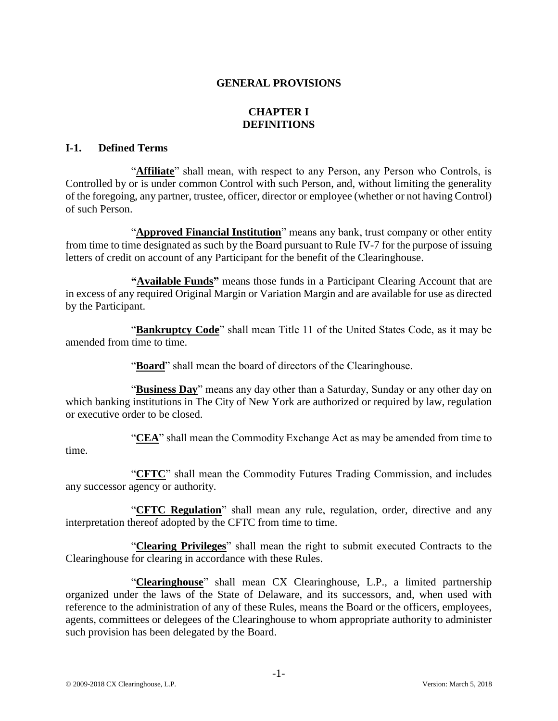# **GENERAL PROVISIONS**

# **CHAPTER I DEFINITIONS**

### **I-1. Defined Terms**

"**Affiliate**" shall mean, with respect to any Person, any Person who Controls, is Controlled by or is under common Control with such Person, and, without limiting the generality of the foregoing, any partner, trustee, officer, director or employee (whether or not having Control) of such Person.

"**Approved Financial Institution**" means any bank, trust company or other entity from time to time designated as such by the Board pursuant to Rule IV-7 for the purpose of issuing letters of credit on account of any Participant for the benefit of the Clearinghouse.

**"Available Funds"** means those funds in a Participant Clearing Account that are in excess of any required Original Margin or Variation Margin and are available for use as directed by the Participant.

"**Bankruptcy Code**" shall mean Title 11 of the United States Code, as it may be amended from time to time.

"**Board**" shall mean the board of directors of the Clearinghouse.

"**Business Day**" means any day other than a Saturday, Sunday or any other day on which banking institutions in The City of New York are authorized or required by law, regulation or executive order to be closed.

"**CEA**" shall mean the Commodity Exchange Act as may be amended from time to

#### time.

"**CFTC**" shall mean the Commodity Futures Trading Commission, and includes any successor agency or authority.

"**CFTC Regulation**" shall mean any rule, regulation, order, directive and any interpretation thereof adopted by the CFTC from time to time.

"**Clearing Privileges**" shall mean the right to submit executed Contracts to the Clearinghouse for clearing in accordance with these Rules.

"**Clearinghouse**" shall mean CX Clearinghouse, L.P., a limited partnership organized under the laws of the State of Delaware, and its successors, and, when used with reference to the administration of any of these Rules, means the Board or the officers, employees, agents, committees or delegees of the Clearinghouse to whom appropriate authority to administer such provision has been delegated by the Board.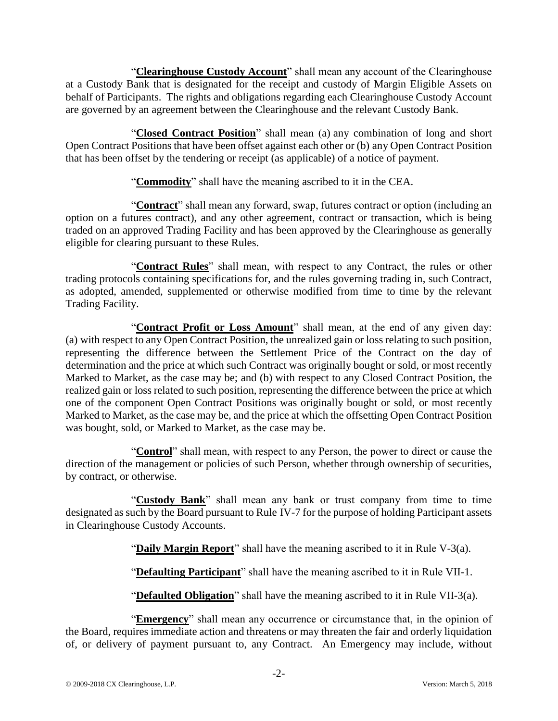"**Clearinghouse Custody Account**" shall mean any account of the Clearinghouse at a Custody Bank that is designated for the receipt and custody of Margin Eligible Assets on behalf of Participants. The rights and obligations regarding each Clearinghouse Custody Account are governed by an agreement between the Clearinghouse and the relevant Custody Bank.

"**Closed Contract Position**" shall mean (a) any combination of long and short Open Contract Positions that have been offset against each other or (b) any Open Contract Position that has been offset by the tendering or receipt (as applicable) of a notice of payment.

"**Commodity**" shall have the meaning ascribed to it in the CEA.

"**Contract**" shall mean any forward, swap, futures contract or option (including an option on a futures contract), and any other agreement, contract or transaction, which is being traded on an approved Trading Facility and has been approved by the Clearinghouse as generally eligible for clearing pursuant to these Rules.

"**Contract Rules**" shall mean, with respect to any Contract, the rules or other trading protocols containing specifications for, and the rules governing trading in, such Contract, as adopted, amended, supplemented or otherwise modified from time to time by the relevant Trading Facility.

"**Contract Profit or Loss Amount**" shall mean, at the end of any given day: (a) with respect to any Open Contract Position, the unrealized gain or loss relating to such position, representing the difference between the Settlement Price of the Contract on the day of determination and the price at which such Contract was originally bought or sold, or most recently Marked to Market, as the case may be; and (b) with respect to any Closed Contract Position, the realized gain or loss related to such position, representing the difference between the price at which one of the component Open Contract Positions was originally bought or sold, or most recently Marked to Market, as the case may be, and the price at which the offsetting Open Contract Position was bought, sold, or Marked to Market, as the case may be.

"**Control**" shall mean, with respect to any Person, the power to direct or cause the direction of the management or policies of such Person, whether through ownership of securities, by contract, or otherwise.

"**Custody Bank**" shall mean any bank or trust company from time to time designated as such by the Board pursuant to Rule IV-7 for the purpose of holding Participant assets in Clearinghouse Custody Accounts.

"**Daily Margin Report**" shall have the meaning ascribed to it in Rule V-3(a).

"**Defaulting Participant**" shall have the meaning ascribed to it in Rule VII-1.

"**Defaulted Obligation**" shall have the meaning ascribed to it in Rule VII-3(a).

"**Emergency**" shall mean any occurrence or circumstance that, in the opinion of the Board, requires immediate action and threatens or may threaten the fair and orderly liquidation of, or delivery of payment pursuant to, any Contract. An Emergency may include, without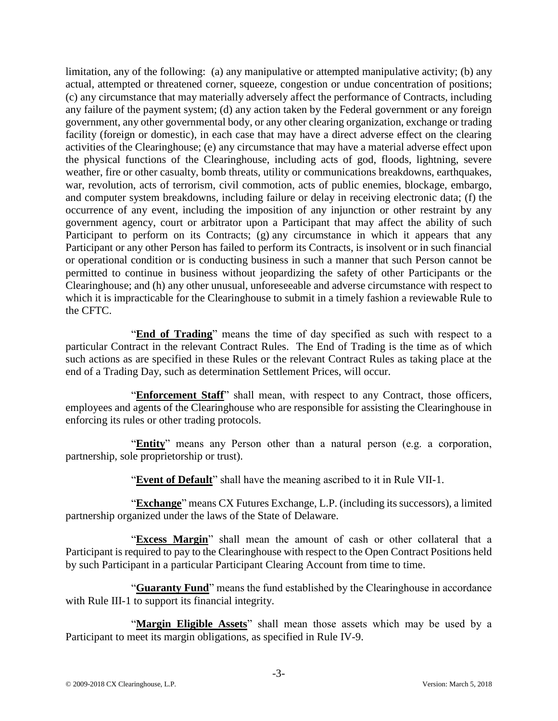limitation, any of the following: (a) any manipulative or attempted manipulative activity; (b) any actual, attempted or threatened corner, squeeze, congestion or undue concentration of positions; (c) any circumstance that may materially adversely affect the performance of Contracts, including any failure of the payment system; (d) any action taken by the Federal government or any foreign government, any other governmental body, or any other clearing organization, exchange or trading facility (foreign or domestic), in each case that may have a direct adverse effect on the clearing activities of the Clearinghouse; (e) any circumstance that may have a material adverse effect upon the physical functions of the Clearinghouse, including acts of god, floods, lightning, severe weather, fire or other casualty, bomb threats, utility or communications breakdowns, earthquakes, war, revolution, acts of terrorism, civil commotion, acts of public enemies, blockage, embargo, and computer system breakdowns, including failure or delay in receiving electronic data; (f) the occurrence of any event, including the imposition of any injunction or other restraint by any government agency, court or arbitrator upon a Participant that may affect the ability of such Participant to perform on its Contracts; (g) any circumstance in which it appears that any Participant or any other Person has failed to perform its Contracts, is insolvent or in such financial or operational condition or is conducting business in such a manner that such Person cannot be permitted to continue in business without jeopardizing the safety of other Participants or the Clearinghouse; and (h) any other unusual, unforeseeable and adverse circumstance with respect to which it is impracticable for the Clearinghouse to submit in a timely fashion a reviewable Rule to the CFTC.

"**End of Trading**" means the time of day specified as such with respect to a particular Contract in the relevant Contract Rules. The End of Trading is the time as of which such actions as are specified in these Rules or the relevant Contract Rules as taking place at the end of a Trading Day, such as determination Settlement Prices, will occur.

"**Enforcement Staff**" shall mean, with respect to any Contract, those officers, employees and agents of the Clearinghouse who are responsible for assisting the Clearinghouse in enforcing its rules or other trading protocols.

"**Entity**" means any Person other than a natural person (e.g. a corporation, partnership, sole proprietorship or trust).

"**Event of Default**" shall have the meaning ascribed to it in Rule VII-1.

"**Exchange**" means CX Futures Exchange, L.P. (including its successors), a limited partnership organized under the laws of the State of Delaware.

"**Excess Margin**" shall mean the amount of cash or other collateral that a Participant is required to pay to the Clearinghouse with respect to the Open Contract Positions held by such Participant in a particular Participant Clearing Account from time to time.

"**Guaranty Fund**" means the fund established by the Clearinghouse in accordance with Rule III-1 to support its financial integrity.

"**Margin Eligible Assets**" shall mean those assets which may be used by a Participant to meet its margin obligations, as specified in Rule IV-9.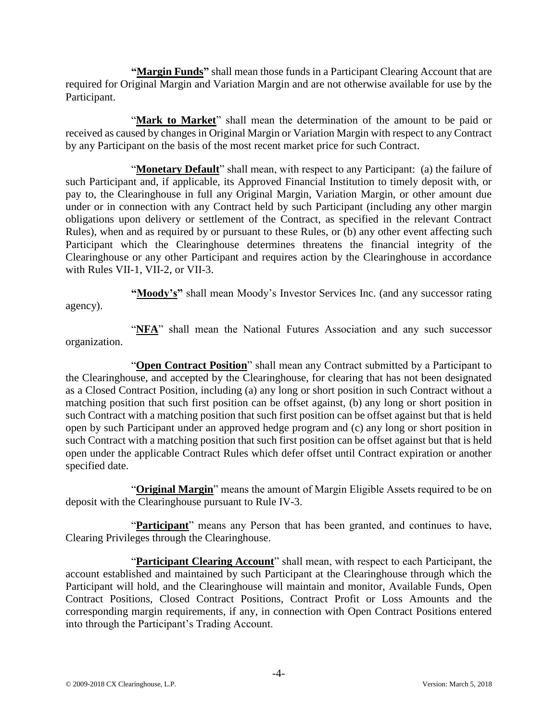**"Margin Funds"** shall mean those funds in a Participant Clearing Account that are required for Original Margin and Variation Margin and are not otherwise available for use by the Participant.

"**Mark to Market**" shall mean the determination of the amount to be paid or received as caused by changes in Original Margin or Variation Margin with respect to any Contract by any Participant on the basis of the most recent market price for such Contract.

"**Monetary Default**" shall mean, with respect to any Participant: (a) the failure of such Participant and, if applicable, its Approved Financial Institution to timely deposit with, or pay to, the Clearinghouse in full any Original Margin, Variation Margin, or other amount due under or in connection with any Contract held by such Participant (including any other margin obligations upon delivery or settlement of the Contract, as specified in the relevant Contract Rules), when and as required by or pursuant to these Rules, or (b) any other event affecting such Participant which the Clearinghouse determines threatens the financial integrity of the Clearinghouse or any other Participant and requires action by the Clearinghouse in accordance with Rules VII-1, VII-2, or VII-3.

**"Moody's"** shall mean Moody's Investor Services Inc. (and any successor rating

agency).

"NFA" shall mean the National Futures Association and any such successor organization.

"**Open Contract Position**" shall mean any Contract submitted by a Participant to the Clearinghouse, and accepted by the Clearinghouse, for clearing that has not been designated as a Closed Contract Position, including (a) any long or short position in such Contract without a matching position that such first position can be offset against, (b) any long or short position in such Contract with a matching position that such first position can be offset against but that is held open by such Participant under an approved hedge program and (c) any long or short position in such Contract with a matching position that such first position can be offset against but that is held open under the applicable Contract Rules which defer offset until Contract expiration or another specified date.

"**Original Margin**" means the amount of Margin Eligible Assets required to be on deposit with the Clearinghouse pursuant to Rule IV-3.

"**Participant**" means any Person that has been granted, and continues to have, Clearing Privileges through the Clearinghouse.

"**Participant Clearing Account**" shall mean, with respect to each Participant, the account established and maintained by such Participant at the Clearinghouse through which the Participant will hold, and the Clearinghouse will maintain and monitor, Available Funds, Open Contract Positions, Closed Contract Positions, Contract Profit or Loss Amounts and the corresponding margin requirements, if any, in connection with Open Contract Positions entered into through the Participant's Trading Account.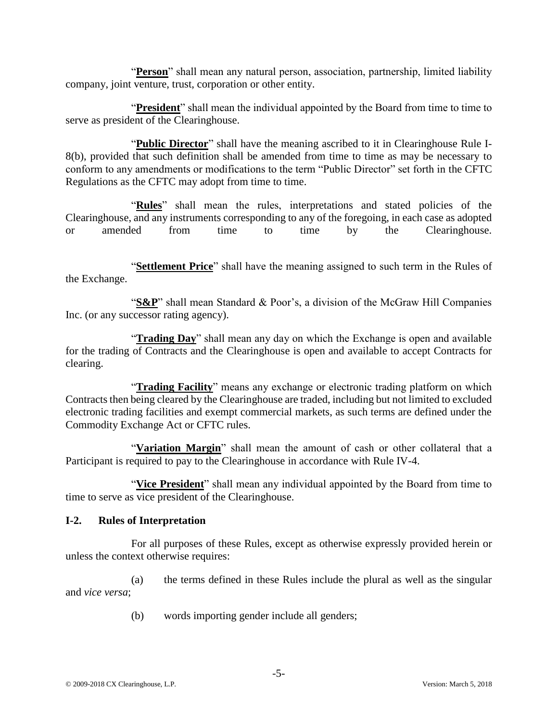"**Person**" shall mean any natural person, association, partnership, limited liability company, joint venture, trust, corporation or other entity.

"**President**" shall mean the individual appointed by the Board from time to time to serve as president of the Clearinghouse.

"**Public Director**" shall have the meaning ascribed to it in Clearinghouse Rule I-8(b), provided that such definition shall be amended from time to time as may be necessary to conform to any amendments or modifications to the term "Public Director" set forth in the CFTC Regulations as the CFTC may adopt from time to time.

"Rules" shall mean the rules, interpretations and stated policies of the Clearinghouse, and any instruments corresponding to any of the foregoing, in each case as adopted or amended from time to time by the Clearinghouse.

"**Settlement Price**" shall have the meaning assigned to such term in the Rules of the Exchange.

"**S&P**" shall mean Standard & Poor's, a division of the McGraw Hill Companies Inc. (or any successor rating agency).

"**Trading Day**" shall mean any day on which the Exchange is open and available for the trading of Contracts and the Clearinghouse is open and available to accept Contracts for clearing.

"**Trading Facility**" means any exchange or electronic trading platform on which Contracts then being cleared by the Clearinghouse are traded, including but not limited to excluded electronic trading facilities and exempt commercial markets, as such terms are defined under the Commodity Exchange Act or CFTC rules.

"**Variation Margin**" shall mean the amount of cash or other collateral that a Participant is required to pay to the Clearinghouse in accordance with Rule IV-4.

"**Vice President**" shall mean any individual appointed by the Board from time to time to serve as vice president of the Clearinghouse.

# **I-2. Rules of Interpretation**

For all purposes of these Rules, except as otherwise expressly provided herein or unless the context otherwise requires:

(a) the terms defined in these Rules include the plural as well as the singular and *vice versa*;

(b) words importing gender include all genders;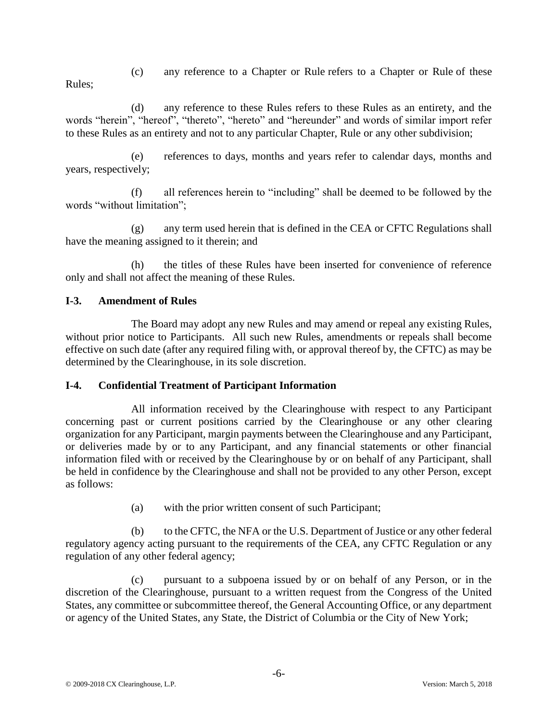(c) any reference to a Chapter or Rule refers to a Chapter or Rule of these Rules;

(d) any reference to these Rules refers to these Rules as an entirety, and the words "herein", "hereof", "thereto", "hereto" and "hereunder" and words of similar import refer to these Rules as an entirety and not to any particular Chapter, Rule or any other subdivision;

(e) references to days, months and years refer to calendar days, months and years, respectively;

(f) all references herein to "including" shall be deemed to be followed by the words "without limitation";

(g) any term used herein that is defined in the CEA or CFTC Regulations shall have the meaning assigned to it therein; and

(h) the titles of these Rules have been inserted for convenience of reference only and shall not affect the meaning of these Rules.

# **I-3. Amendment of Rules**

The Board may adopt any new Rules and may amend or repeal any existing Rules, without prior notice to Participants. All such new Rules, amendments or repeals shall become effective on such date (after any required filing with, or approval thereof by, the CFTC) as may be determined by the Clearinghouse, in its sole discretion.

# **I-4. Confidential Treatment of Participant Information**

All information received by the Clearinghouse with respect to any Participant concerning past or current positions carried by the Clearinghouse or any other clearing organization for any Participant, margin payments between the Clearinghouse and any Participant, or deliveries made by or to any Participant, and any financial statements or other financial information filed with or received by the Clearinghouse by or on behalf of any Participant, shall be held in confidence by the Clearinghouse and shall not be provided to any other Person, except as follows:

(a) with the prior written consent of such Participant;

(b) to the CFTC, the NFA or the U.S. Department of Justice or any other federal regulatory agency acting pursuant to the requirements of the CEA, any CFTC Regulation or any regulation of any other federal agency;

(c) pursuant to a subpoena issued by or on behalf of any Person, or in the discretion of the Clearinghouse, pursuant to a written request from the Congress of the United States, any committee or subcommittee thereof, the General Accounting Office, or any department or agency of the United States, any State, the District of Columbia or the City of New York;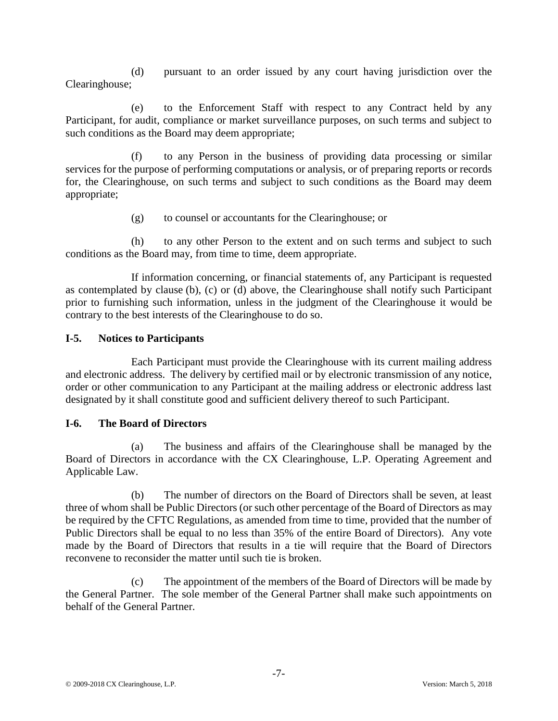(d) pursuant to an order issued by any court having jurisdiction over the Clearinghouse;

(e) to the Enforcement Staff with respect to any Contract held by any Participant, for audit, compliance or market surveillance purposes, on such terms and subject to such conditions as the Board may deem appropriate;

(f) to any Person in the business of providing data processing or similar services for the purpose of performing computations or analysis, or of preparing reports or records for, the Clearinghouse, on such terms and subject to such conditions as the Board may deem appropriate;

(g) to counsel or accountants for the Clearinghouse; or

(h) to any other Person to the extent and on such terms and subject to such conditions as the Board may, from time to time, deem appropriate.

If information concerning, or financial statements of, any Participant is requested as contemplated by clause (b), (c) or (d) above, the Clearinghouse shall notify such Participant prior to furnishing such information, unless in the judgment of the Clearinghouse it would be contrary to the best interests of the Clearinghouse to do so.

# **I-5. Notices to Participants**

Each Participant must provide the Clearinghouse with its current mailing address and electronic address. The delivery by certified mail or by electronic transmission of any notice, order or other communication to any Participant at the mailing address or electronic address last designated by it shall constitute good and sufficient delivery thereof to such Participant.

#### **I-6. The Board of Directors**

(a) The business and affairs of the Clearinghouse shall be managed by the Board of Directors in accordance with the CX Clearinghouse, L.P. Operating Agreement and Applicable Law.

(b) The number of directors on the Board of Directors shall be seven, at least three of whom shall be Public Directors (or such other percentage of the Board of Directors as may be required by the CFTC Regulations, as amended from time to time, provided that the number of Public Directors shall be equal to no less than 35% of the entire Board of Directors). Any vote made by the Board of Directors that results in a tie will require that the Board of Directors reconvene to reconsider the matter until such tie is broken.

(c) The appointment of the members of the Board of Directors will be made by the General Partner. The sole member of the General Partner shall make such appointments on behalf of the General Partner.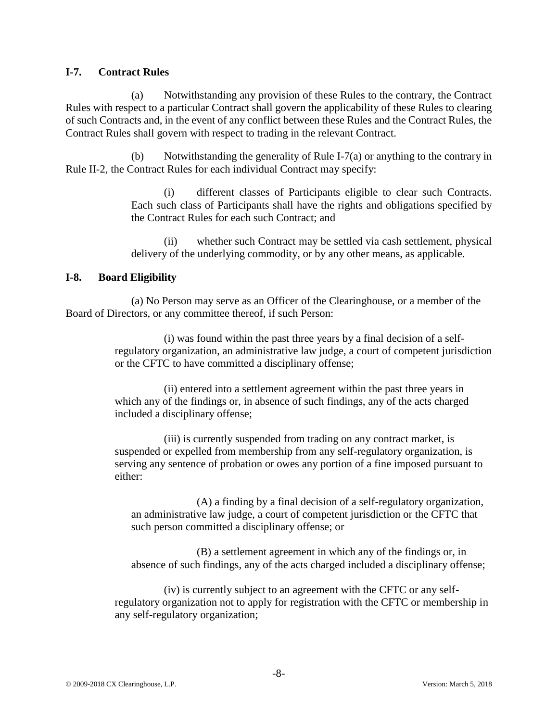# **I-7. Contract Rules**

(a) Notwithstanding any provision of these Rules to the contrary, the Contract Rules with respect to a particular Contract shall govern the applicability of these Rules to clearing of such Contracts and, in the event of any conflict between these Rules and the Contract Rules, the Contract Rules shall govern with respect to trading in the relevant Contract.

(b) Notwithstanding the generality of Rule I-7(a) or anything to the contrary in Rule II-2, the Contract Rules for each individual Contract may specify:

> (i) different classes of Participants eligible to clear such Contracts. Each such class of Participants shall have the rights and obligations specified by the Contract Rules for each such Contract; and

> (ii) whether such Contract may be settled via cash settlement, physical delivery of the underlying commodity, or by any other means, as applicable.

# **I-8. Board Eligibility**

(a) No Person may serve as an Officer of the Clearinghouse, or a member of the Board of Directors, or any committee thereof, if such Person:

> (i) was found within the past three years by a final decision of a selfregulatory organization, an administrative law judge, a court of competent jurisdiction or the CFTC to have committed a disciplinary offense;

(ii) entered into a settlement agreement within the past three years in which any of the findings or, in absence of such findings, any of the acts charged included a disciplinary offense;

(iii) is currently suspended from trading on any contract market, is suspended or expelled from membership from any self-regulatory organization, is serving any sentence of probation or owes any portion of a fine imposed pursuant to either:

(A) a finding by a final decision of a self-regulatory organization, an administrative law judge, a court of competent jurisdiction or the CFTC that such person committed a disciplinary offense; or

(B) a settlement agreement in which any of the findings or, in absence of such findings, any of the acts charged included a disciplinary offense;

(iv) is currently subject to an agreement with the CFTC or any selfregulatory organization not to apply for registration with the CFTC or membership in any self-regulatory organization;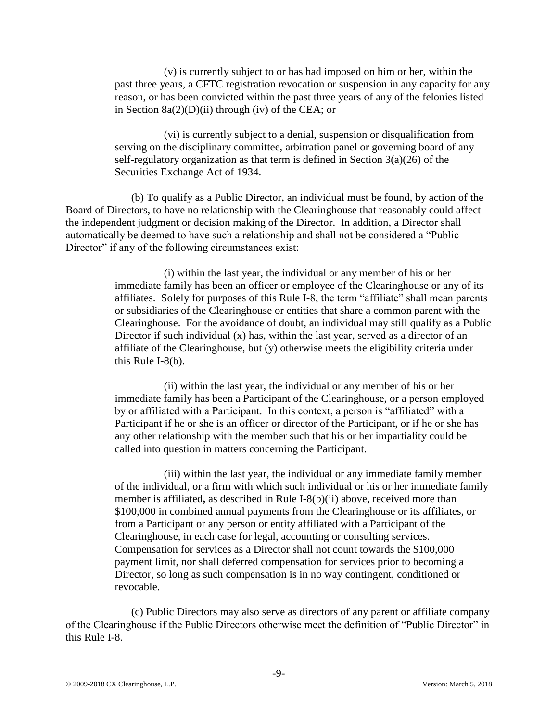(v) is currently subject to or has had imposed on him or her, within the past three years, a CFTC registration revocation or suspension in any capacity for any reason, or has been convicted within the past three years of any of the felonies listed in Section  $8a(2)(D)(ii)$  through (iv) of the CEA; or

(vi) is currently subject to a denial, suspension or disqualification from serving on the disciplinary committee, arbitration panel or governing board of any self-regulatory organization as that term is defined in Section  $3(a)(26)$  of the Securities Exchange Act of 1934.

(b) To qualify as a Public Director, an individual must be found, by action of the Board of Directors, to have no relationship with the Clearinghouse that reasonably could affect the independent judgment or decision making of the Director. In addition, a Director shall automatically be deemed to have such a relationship and shall not be considered a "Public Director" if any of the following circumstances exist:

> (i) within the last year, the individual or any member of his or her immediate family has been an officer or employee of the Clearinghouse or any of its affiliates. Solely for purposes of this Rule I-8, the term "affiliate" shall mean parents or subsidiaries of the Clearinghouse or entities that share a common parent with the Clearinghouse. For the avoidance of doubt, an individual may still qualify as a Public Director if such individual (x) has, within the last year, served as a director of an affiliate of the Clearinghouse, but (y) otherwise meets the eligibility criteria under this Rule I-8(b).

(ii) within the last year, the individual or any member of his or her immediate family has been a Participant of the Clearinghouse, or a person employed by or affiliated with a Participant. In this context, a person is "affiliated" with a Participant if he or she is an officer or director of the Participant, or if he or she has any other relationship with the member such that his or her impartiality could be called into question in matters concerning the Participant.

(iii) within the last year, the individual or any immediate family member of the individual, or a firm with which such individual or his or her immediate family member is affiliated**,** as described in Rule I-8(b)(ii) above, received more than \$100,000 in combined annual payments from the Clearinghouse or its affiliates, or from a Participant or any person or entity affiliated with a Participant of the Clearinghouse, in each case for legal, accounting or consulting services. Compensation for services as a Director shall not count towards the \$100,000 payment limit, nor shall deferred compensation for services prior to becoming a Director, so long as such compensation is in no way contingent, conditioned or revocable.

(c) Public Directors may also serve as directors of any parent or affiliate company of the Clearinghouse if the Public Directors otherwise meet the definition of "Public Director" in this Rule I-8.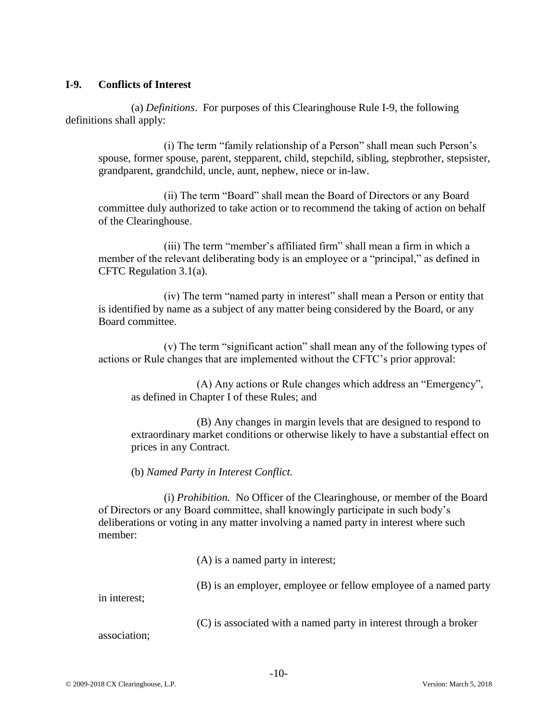#### **I-9. Conflicts of Interest**

(a) *Definitions*. For purposes of this Clearinghouse Rule I-9, the following definitions shall apply:

(i) The term "family relationship of a Person" shall mean such Person's spouse, former spouse, parent, stepparent, child, stepchild, sibling, stepbrother, stepsister, grandparent, grandchild, uncle, aunt, nephew, niece or in-law.

(ii) The term "Board" shall mean the Board of Directors or any Board committee duly authorized to take action or to recommend the taking of action on behalf of the Clearinghouse.

(iii) The term "member's affiliated firm" shall mean a firm in which a member of the relevant deliberating body is an employee or a "principal," as defined in CFTC Regulation 3.1(a).

(iv) The term "named party in interest" shall mean a Person or entity that is identified by name as a subject of any matter being considered by the Board, or any Board committee.

(v) The term "significant action" shall mean any of the following types of actions or Rule changes that are implemented without the CFTC's prior approval:

(A) Any actions or Rule changes which address an "Emergency", as defined in Chapter I of these Rules; and

(B) Any changes in margin levels that are designed to respond to extraordinary market conditions or otherwise likely to have a substantial effect on prices in any Contract.

(b) *Named Party in Interest Conflict.*

(i) *Prohibition.* No Officer of the Clearinghouse, or member of the Board of Directors or any Board committee, shall knowingly participate in such body's deliberations or voting in any matter involving a named party in interest where such member:

(A) is a named party in interest;

(B) is an employer, employee or fellow employee of a named party

in interest;

(C) is associated with a named party in interest through a broker

association;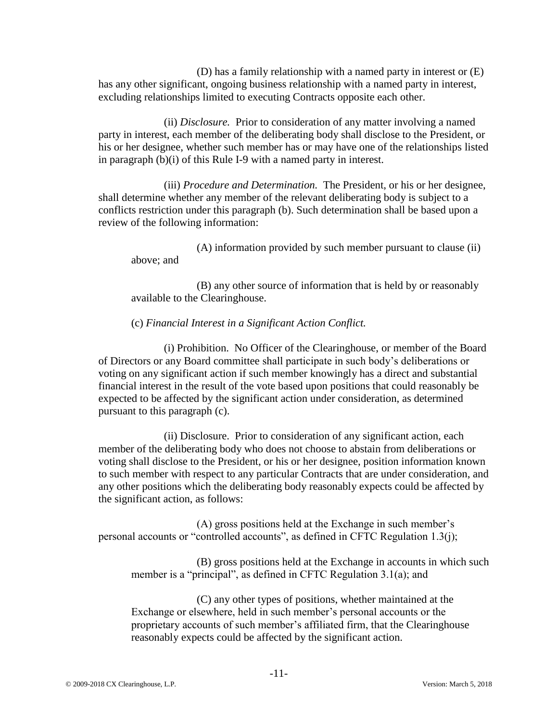(D) has a family relationship with a named party in interest or (E) has any other significant, ongoing business relationship with a named party in interest, excluding relationships limited to executing Contracts opposite each other.

(ii) *Disclosure.* Prior to consideration of any matter involving a named party in interest, each member of the deliberating body shall disclose to the President, or his or her designee, whether such member has or may have one of the relationships listed in paragraph (b)(i) of this Rule I-9 with a named party in interest.

(iii) *Procedure and Determination.* The President, or his or her designee, shall determine whether any member of the relevant deliberating body is subject to a conflicts restriction under this paragraph (b). Such determination shall be based upon a review of the following information:

(A) information provided by such member pursuant to clause (ii) above; and

(B) any other source of information that is held by or reasonably available to the Clearinghouse.

# (c) *Financial Interest in a Significant Action Conflict.*

(i) Prohibition. No Officer of the Clearinghouse, or member of the Board of Directors or any Board committee shall participate in such body's deliberations or voting on any significant action if such member knowingly has a direct and substantial financial interest in the result of the vote based upon positions that could reasonably be expected to be affected by the significant action under consideration, as determined pursuant to this paragraph (c).

(ii) Disclosure. Prior to consideration of any significant action, each member of the deliberating body who does not choose to abstain from deliberations or voting shall disclose to the President, or his or her designee, position information known to such member with respect to any particular Contracts that are under consideration, and any other positions which the deliberating body reasonably expects could be affected by the significant action, as follows:

(A) gross positions held at the Exchange in such member's personal accounts or "controlled accounts", as defined in CFTC Regulation 1.3(j);

(B) gross positions held at the Exchange in accounts in which such member is a "principal", as defined in CFTC Regulation 3.1(a); and

(C) any other types of positions, whether maintained at the Exchange or elsewhere, held in such member's personal accounts or the proprietary accounts of such member's affiliated firm, that the Clearinghouse reasonably expects could be affected by the significant action.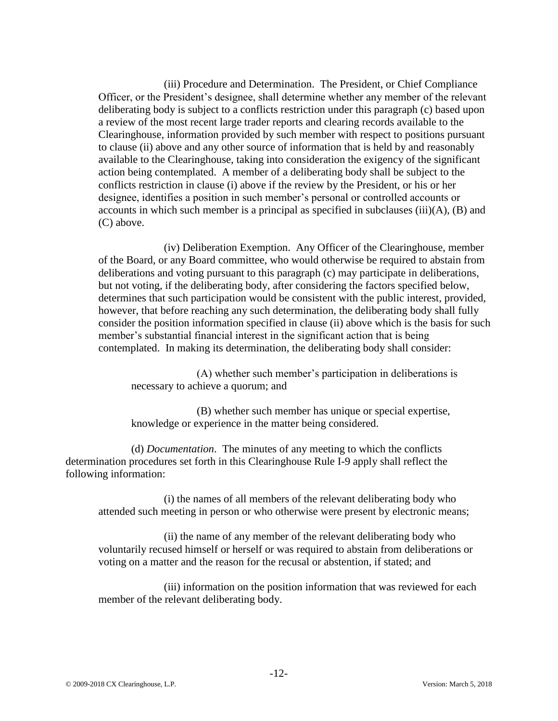(iii) Procedure and Determination. The President, or Chief Compliance Officer, or the President's designee, shall determine whether any member of the relevant deliberating body is subject to a conflicts restriction under this paragraph (c) based upon a review of the most recent large trader reports and clearing records available to the Clearinghouse, information provided by such member with respect to positions pursuant to clause (ii) above and any other source of information that is held by and reasonably available to the Clearinghouse, taking into consideration the exigency of the significant action being contemplated. A member of a deliberating body shall be subject to the conflicts restriction in clause (i) above if the review by the President, or his or her designee, identifies a position in such member's personal or controlled accounts or accounts in which such member is a principal as specified in subclauses (iii)(A), (B) and (C) above.

(iv) Deliberation Exemption. Any Officer of the Clearinghouse, member of the Board, or any Board committee, who would otherwise be required to abstain from deliberations and voting pursuant to this paragraph (c) may participate in deliberations, but not voting, if the deliberating body, after considering the factors specified below, determines that such participation would be consistent with the public interest, provided, however, that before reaching any such determination, the deliberating body shall fully consider the position information specified in clause (ii) above which is the basis for such member's substantial financial interest in the significant action that is being contemplated. In making its determination, the deliberating body shall consider:

(A) whether such member's participation in deliberations is necessary to achieve a quorum; and

(B) whether such member has unique or special expertise, knowledge or experience in the matter being considered.

(d) *Documentation*. The minutes of any meeting to which the conflicts determination procedures set forth in this Clearinghouse Rule I-9 apply shall reflect the following information:

(i) the names of all members of the relevant deliberating body who attended such meeting in person or who otherwise were present by electronic means;

(ii) the name of any member of the relevant deliberating body who voluntarily recused himself or herself or was required to abstain from deliberations or voting on a matter and the reason for the recusal or abstention, if stated; and

(iii) information on the position information that was reviewed for each member of the relevant deliberating body.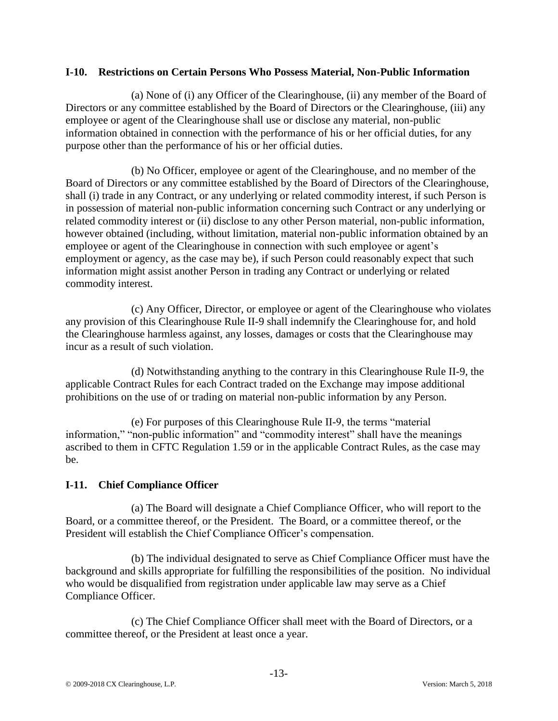### **I-10. Restrictions on Certain Persons Who Possess Material, Non-Public Information**

(a) None of (i) any Officer of the Clearinghouse, (ii) any member of the Board of Directors or any committee established by the Board of Directors or the Clearinghouse, (iii) any employee or agent of the Clearinghouse shall use or disclose any material, non-public information obtained in connection with the performance of his or her official duties, for any purpose other than the performance of his or her official duties.

(b) No Officer, employee or agent of the Clearinghouse, and no member of the Board of Directors or any committee established by the Board of Directors of the Clearinghouse, shall (i) trade in any Contract, or any underlying or related commodity interest, if such Person is in possession of material non-public information concerning such Contract or any underlying or related commodity interest or (ii) disclose to any other Person material, non-public information, however obtained (including, without limitation, material non-public information obtained by an employee or agent of the Clearinghouse in connection with such employee or agent's employment or agency, as the case may be), if such Person could reasonably expect that such information might assist another Person in trading any Contract or underlying or related commodity interest.

(c) Any Officer, Director, or employee or agent of the Clearinghouse who violates any provision of this Clearinghouse Rule II-9 shall indemnify the Clearinghouse for, and hold the Clearinghouse harmless against, any losses, damages or costs that the Clearinghouse may incur as a result of such violation.

(d) Notwithstanding anything to the contrary in this Clearinghouse Rule II-9, the applicable Contract Rules for each Contract traded on the Exchange may impose additional prohibitions on the use of or trading on material non-public information by any Person.

(e) For purposes of this Clearinghouse Rule II-9, the terms "material information," "non-public information" and "commodity interest" shall have the meanings ascribed to them in CFTC Regulation 1.59 or in the applicable Contract Rules, as the case may be.

# **I-11. Chief Compliance Officer**

(a) The Board will designate a Chief Compliance Officer, who will report to the Board, or a committee thereof, or the President. The Board, or a committee thereof, or the President will establish the Chief Compliance Officer's compensation.

(b) The individual designated to serve as Chief Compliance Officer must have the background and skills appropriate for fulfilling the responsibilities of the position. No individual who would be disqualified from registration under applicable law may serve as a Chief Compliance Officer.

(c) The Chief Compliance Officer shall meet with the Board of Directors, or a committee thereof, or the President at least once a year.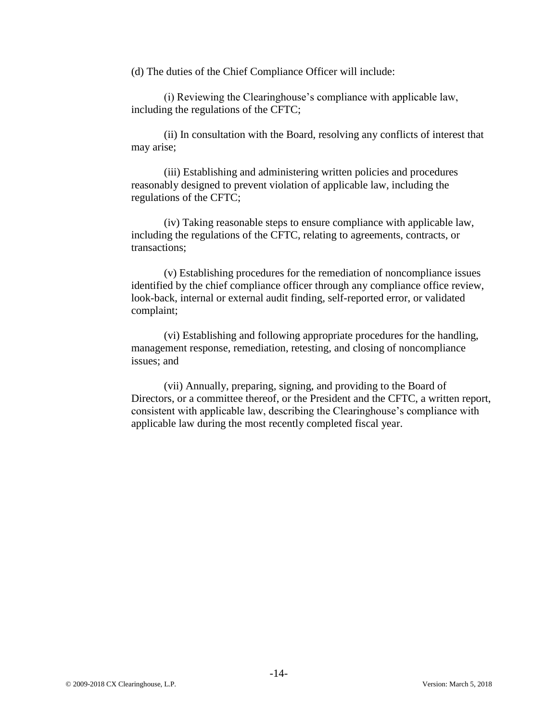(d) The duties of the Chief Compliance Officer will include:

(i) Reviewing the Clearinghouse's compliance with applicable law, including the regulations of the CFTC;

(ii) In consultation with the Board, resolving any conflicts of interest that may arise;

(iii) Establishing and administering written policies and procedures reasonably designed to prevent violation of applicable law, including the regulations of the CFTC;

(iv) Taking reasonable steps to ensure compliance with applicable law, including the regulations of the CFTC, relating to agreements, contracts, or transactions;

(v) Establishing procedures for the remediation of noncompliance issues identified by the chief compliance officer through any compliance office review, look-back, internal or external audit finding, self-reported error, or validated complaint;

(vi) Establishing and following appropriate procedures for the handling, management response, remediation, retesting, and closing of noncompliance issues; and

(vii) Annually, preparing, signing, and providing to the Board of Directors, or a committee thereof, or the President and the CFTC, a written report, consistent with applicable law, describing the Clearinghouse's compliance with applicable law during the most recently completed fiscal year.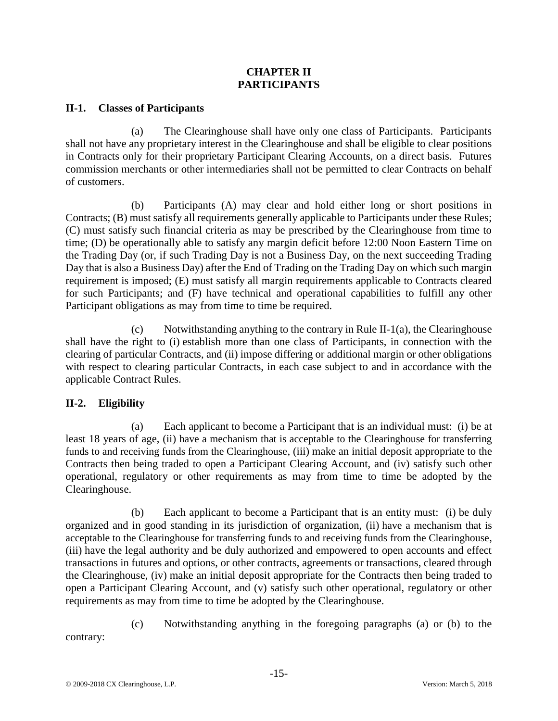# **CHAPTER II PARTICIPANTS**

# **II-1. Classes of Participants**

(a) The Clearinghouse shall have only one class of Participants. Participants shall not have any proprietary interest in the Clearinghouse and shall be eligible to clear positions in Contracts only for their proprietary Participant Clearing Accounts, on a direct basis. Futures commission merchants or other intermediaries shall not be permitted to clear Contracts on behalf of customers.

(b) Participants (A) may clear and hold either long or short positions in Contracts; (B) must satisfy all requirements generally applicable to Participants under these Rules; (C) must satisfy such financial criteria as may be prescribed by the Clearinghouse from time to time; (D) be operationally able to satisfy any margin deficit before 12:00 Noon Eastern Time on the Trading Day (or, if such Trading Day is not a Business Day, on the next succeeding Trading Day that is also a Business Day) after the End of Trading on the Trading Day on which such margin requirement is imposed; (E) must satisfy all margin requirements applicable to Contracts cleared for such Participants; and (F) have technical and operational capabilities to fulfill any other Participant obligations as may from time to time be required.

(c) Notwithstanding anything to the contrary in Rule II-1(a), the Clearinghouse shall have the right to (i) establish more than one class of Participants, in connection with the clearing of particular Contracts, and (ii) impose differing or additional margin or other obligations with respect to clearing particular Contracts, in each case subject to and in accordance with the applicable Contract Rules.

# **II-2. Eligibility**

(a) Each applicant to become a Participant that is an individual must: (i) be at least 18 years of age, (ii) have a mechanism that is acceptable to the Clearinghouse for transferring funds to and receiving funds from the Clearinghouse, (iii) make an initial deposit appropriate to the Contracts then being traded to open a Participant Clearing Account, and (iv) satisfy such other operational, regulatory or other requirements as may from time to time be adopted by the Clearinghouse.

(b) Each applicant to become a Participant that is an entity must: (i) be duly organized and in good standing in its jurisdiction of organization, (ii) have a mechanism that is acceptable to the Clearinghouse for transferring funds to and receiving funds from the Clearinghouse, (iii) have the legal authority and be duly authorized and empowered to open accounts and effect transactions in futures and options, or other contracts, agreements or transactions, cleared through the Clearinghouse, (iv) make an initial deposit appropriate for the Contracts then being traded to open a Participant Clearing Account, and (v) satisfy such other operational, regulatory or other requirements as may from time to time be adopted by the Clearinghouse.

(c) Notwithstanding anything in the foregoing paragraphs (a) or (b) to the contrary: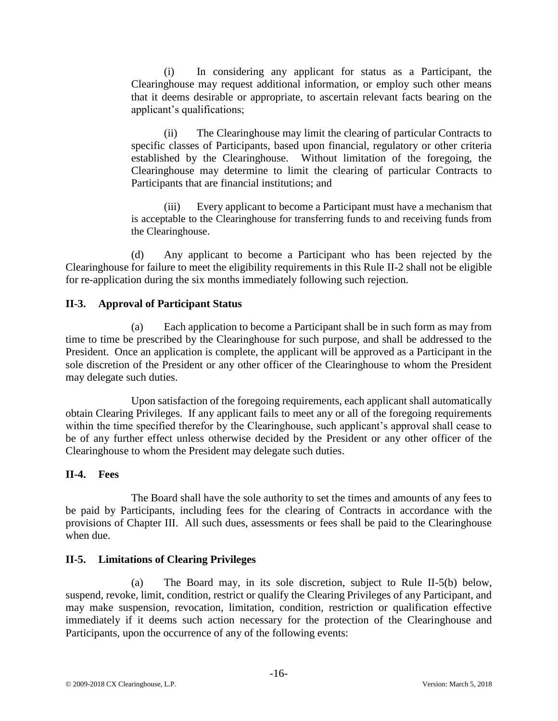(i) In considering any applicant for status as a Participant, the Clearinghouse may request additional information, or employ such other means that it deems desirable or appropriate, to ascertain relevant facts bearing on the applicant's qualifications;

(ii) The Clearinghouse may limit the clearing of particular Contracts to specific classes of Participants, based upon financial, regulatory or other criteria established by the Clearinghouse. Without limitation of the foregoing, the Clearinghouse may determine to limit the clearing of particular Contracts to Participants that are financial institutions; and

(iii) Every applicant to become a Participant must have a mechanism that is acceptable to the Clearinghouse for transferring funds to and receiving funds from the Clearinghouse.

(d) Any applicant to become a Participant who has been rejected by the Clearinghouse for failure to meet the eligibility requirements in this Rule II-2 shall not be eligible for re-application during the six months immediately following such rejection.

# **II-3. Approval of Participant Status**

(a) Each application to become a Participant shall be in such form as may from time to time be prescribed by the Clearinghouse for such purpose, and shall be addressed to the President. Once an application is complete, the applicant will be approved as a Participant in the sole discretion of the President or any other officer of the Clearinghouse to whom the President may delegate such duties.

Upon satisfaction of the foregoing requirements, each applicant shall automatically obtain Clearing Privileges. If any applicant fails to meet any or all of the foregoing requirements within the time specified therefor by the Clearinghouse, such applicant's approval shall cease to be of any further effect unless otherwise decided by the President or any other officer of the Clearinghouse to whom the President may delegate such duties.

#### **II-4. Fees**

The Board shall have the sole authority to set the times and amounts of any fees to be paid by Participants, including fees for the clearing of Contracts in accordance with the provisions of Chapter III. All such dues, assessments or fees shall be paid to the Clearinghouse when due.

#### **II-5. Limitations of Clearing Privileges**

(a) The Board may, in its sole discretion, subject to Rule II-5(b) below, suspend, revoke, limit, condition, restrict or qualify the Clearing Privileges of any Participant, and may make suspension, revocation, limitation, condition, restriction or qualification effective immediately if it deems such action necessary for the protection of the Clearinghouse and Participants, upon the occurrence of any of the following events: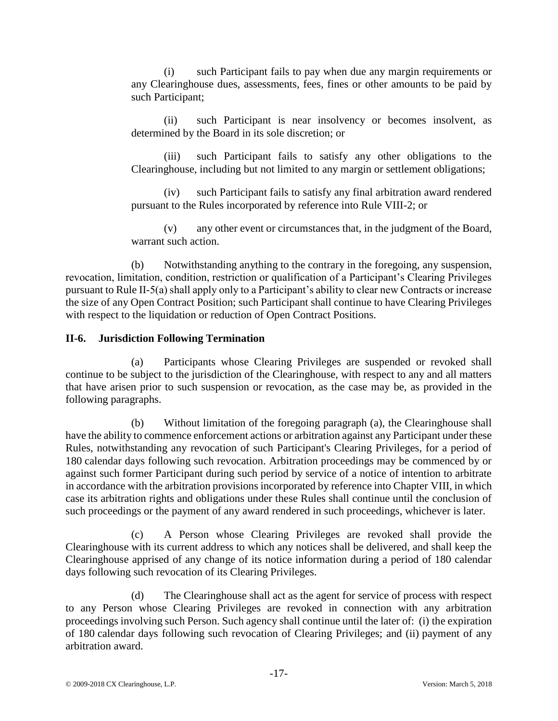(i) such Participant fails to pay when due any margin requirements or any Clearinghouse dues, assessments, fees, fines or other amounts to be paid by such Participant;

(ii) such Participant is near insolvency or becomes insolvent, as determined by the Board in its sole discretion; or

(iii) such Participant fails to satisfy any other obligations to the Clearinghouse, including but not limited to any margin or settlement obligations;

(iv) such Participant fails to satisfy any final arbitration award rendered pursuant to the Rules incorporated by reference into Rule VIII-2; or

(v) any other event or circumstances that, in the judgment of the Board, warrant such action.

(b) Notwithstanding anything to the contrary in the foregoing, any suspension, revocation, limitation, condition, restriction or qualification of a Participant's Clearing Privileges pursuant to Rule II-5(a) shall apply only to a Participant's ability to clear new Contracts or increase the size of any Open Contract Position; such Participant shall continue to have Clearing Privileges with respect to the liquidation or reduction of Open Contract Positions.

# **II-6. Jurisdiction Following Termination**

(a) Participants whose Clearing Privileges are suspended or revoked shall continue to be subject to the jurisdiction of the Clearinghouse, with respect to any and all matters that have arisen prior to such suspension or revocation, as the case may be, as provided in the following paragraphs.

(b) Without limitation of the foregoing paragraph (a), the Clearinghouse shall have the ability to commence enforcement actions or arbitration against any Participant under these Rules, notwithstanding any revocation of such Participant's Clearing Privileges, for a period of 180 calendar days following such revocation. Arbitration proceedings may be commenced by or against such former Participant during such period by service of a notice of intention to arbitrate in accordance with the arbitration provisions incorporated by reference into Chapter VIII, in which case its arbitration rights and obligations under these Rules shall continue until the conclusion of such proceedings or the payment of any award rendered in such proceedings, whichever is later.

(c) A Person whose Clearing Privileges are revoked shall provide the Clearinghouse with its current address to which any notices shall be delivered, and shall keep the Clearinghouse apprised of any change of its notice information during a period of 180 calendar days following such revocation of its Clearing Privileges.

(d) The Clearinghouse shall act as the agent for service of process with respect to any Person whose Clearing Privileges are revoked in connection with any arbitration proceedings involving such Person. Such agency shall continue until the later of: (i) the expiration of 180 calendar days following such revocation of Clearing Privileges; and (ii) payment of any arbitration award.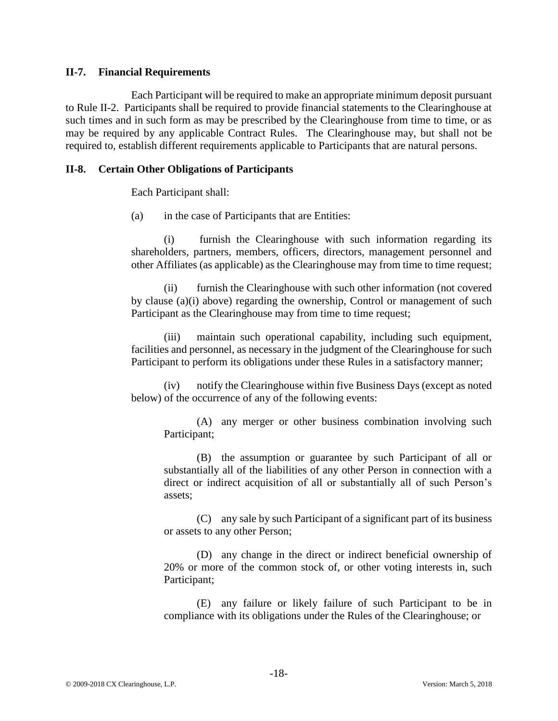#### **II-7. Financial Requirements**

Each Participant will be required to make an appropriate minimum deposit pursuant to Rule II-2. Participants shall be required to provide financial statements to the Clearinghouse at such times and in such form as may be prescribed by the Clearinghouse from time to time, or as may be required by any applicable Contract Rules. The Clearinghouse may, but shall not be required to, establish different requirements applicable to Participants that are natural persons.

#### **II-8. Certain Other Obligations of Participants**

Each Participant shall:

(a) in the case of Participants that are Entities:

(i) furnish the Clearinghouse with such information regarding its shareholders, partners, members, officers, directors, management personnel and other Affiliates (as applicable) as the Clearinghouse may from time to time request;

(ii) furnish the Clearinghouse with such other information (not covered by clause (a)(i) above) regarding the ownership, Control or management of such Participant as the Clearinghouse may from time to time request;

(iii) maintain such operational capability, including such equipment, facilities and personnel, as necessary in the judgment of the Clearinghouse for such Participant to perform its obligations under these Rules in a satisfactory manner;

(iv) notify the Clearinghouse within five Business Days (except as noted below) of the occurrence of any of the following events:

(A) any merger or other business combination involving such Participant;

(B) the assumption or guarantee by such Participant of all or substantially all of the liabilities of any other Person in connection with a direct or indirect acquisition of all or substantially all of such Person's assets;

(C) any sale by such Participant of a significant part of its business or assets to any other Person;

(D) any change in the direct or indirect beneficial ownership of 20% or more of the common stock of, or other voting interests in, such Participant;

(E) any failure or likely failure of such Participant to be in compliance with its obligations under the Rules of the Clearinghouse; or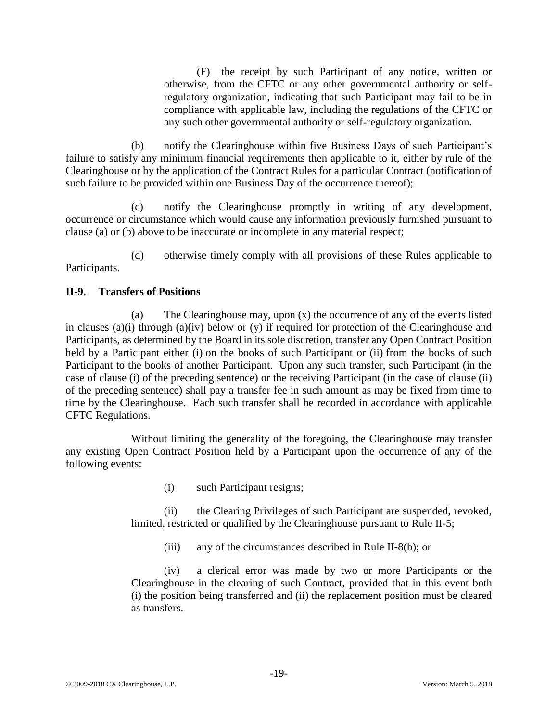(F) the receipt by such Participant of any notice, written or otherwise, from the CFTC or any other governmental authority or selfregulatory organization, indicating that such Participant may fail to be in compliance with applicable law, including the regulations of the CFTC or any such other governmental authority or self-regulatory organization.

(b) notify the Clearinghouse within five Business Days of such Participant's failure to satisfy any minimum financial requirements then applicable to it, either by rule of the Clearinghouse or by the application of the Contract Rules for a particular Contract (notification of such failure to be provided within one Business Day of the occurrence thereof);

(c) notify the Clearinghouse promptly in writing of any development, occurrence or circumstance which would cause any information previously furnished pursuant to clause (a) or (b) above to be inaccurate or incomplete in any material respect;

(d) otherwise timely comply with all provisions of these Rules applicable to Participants.

# **II-9. Transfers of Positions**

(a) The Clearinghouse may, upon (x) the occurrence of any of the events listed in clauses (a)(i) through (a)(iv) below or (y) if required for protection of the Clearinghouse and Participants, as determined by the Board in its sole discretion, transfer any Open Contract Position held by a Participant either (i) on the books of such Participant or (ii) from the books of such Participant to the books of another Participant. Upon any such transfer, such Participant (in the case of clause (i) of the preceding sentence) or the receiving Participant (in the case of clause (ii) of the preceding sentence) shall pay a transfer fee in such amount as may be fixed from time to time by the Clearinghouse. Each such transfer shall be recorded in accordance with applicable CFTC Regulations.

Without limiting the generality of the foregoing, the Clearinghouse may transfer any existing Open Contract Position held by a Participant upon the occurrence of any of the following events:

(i) such Participant resigns;

(ii) the Clearing Privileges of such Participant are suspended, revoked, limited, restricted or qualified by the Clearinghouse pursuant to Rule II-5;

(iii) any of the circumstances described in Rule II-8(b); or

(iv) a clerical error was made by two or more Participants or the Clearinghouse in the clearing of such Contract, provided that in this event both (i) the position being transferred and (ii) the replacement position must be cleared as transfers.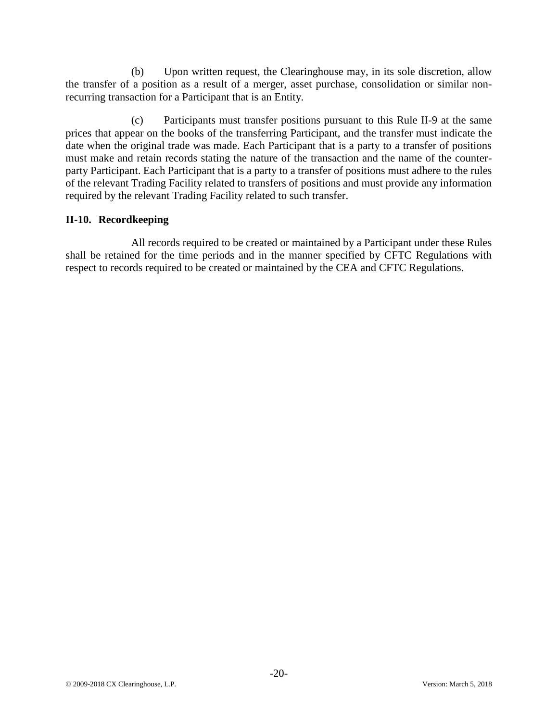(b) Upon written request, the Clearinghouse may, in its sole discretion, allow the transfer of a position as a result of a merger, asset purchase, consolidation or similar nonrecurring transaction for a Participant that is an Entity.

(c) Participants must transfer positions pursuant to this Rule II-9 at the same prices that appear on the books of the transferring Participant, and the transfer must indicate the date when the original trade was made. Each Participant that is a party to a transfer of positions must make and retain records stating the nature of the transaction and the name of the counterparty Participant. Each Participant that is a party to a transfer of positions must adhere to the rules of the relevant Trading Facility related to transfers of positions and must provide any information required by the relevant Trading Facility related to such transfer.

# **II-10. Recordkeeping**

All records required to be created or maintained by a Participant under these Rules shall be retained for the time periods and in the manner specified by CFTC Regulations with respect to records required to be created or maintained by the CEA and CFTC Regulations.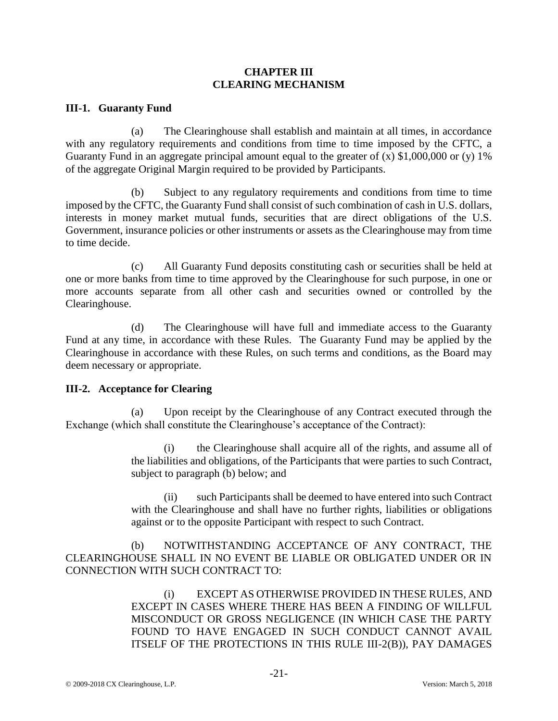#### **CHAPTER III CLEARING MECHANISM**

#### **III-1. Guaranty Fund**

(a) The Clearinghouse shall establish and maintain at all times, in accordance with any regulatory requirements and conditions from time to time imposed by the CFTC, a Guaranty Fund in an aggregate principal amount equal to the greater of  $(x)$  \$1,000,000 or  $(y)$  1% of the aggregate Original Margin required to be provided by Participants.

(b) Subject to any regulatory requirements and conditions from time to time imposed by the CFTC, the Guaranty Fund shall consist of such combination of cash in U.S. dollars, interests in money market mutual funds, securities that are direct obligations of the U.S. Government, insurance policies or other instruments or assets as the Clearinghouse may from time to time decide.

(c) All Guaranty Fund deposits constituting cash or securities shall be held at one or more banks from time to time approved by the Clearinghouse for such purpose, in one or more accounts separate from all other cash and securities owned or controlled by the Clearinghouse.

(d) The Clearinghouse will have full and immediate access to the Guaranty Fund at any time, in accordance with these Rules. The Guaranty Fund may be applied by the Clearinghouse in accordance with these Rules, on such terms and conditions, as the Board may deem necessary or appropriate.

#### **III-2. Acceptance for Clearing**

(a) Upon receipt by the Clearinghouse of any Contract executed through the Exchange (which shall constitute the Clearinghouse's acceptance of the Contract):

> (i) the Clearinghouse shall acquire all of the rights, and assume all of the liabilities and obligations, of the Participants that were parties to such Contract, subject to paragraph (b) below; and

> (ii) such Participants shall be deemed to have entered into such Contract with the Clearinghouse and shall have no further rights, liabilities or obligations against or to the opposite Participant with respect to such Contract.

(b) NOTWITHSTANDING ACCEPTANCE OF ANY CONTRACT, THE CLEARINGHOUSE SHALL IN NO EVENT BE LIABLE OR OBLIGATED UNDER OR IN CONNECTION WITH SUCH CONTRACT TO:

> (i) EXCEPT AS OTHERWISE PROVIDED IN THESE RULES, AND EXCEPT IN CASES WHERE THERE HAS BEEN A FINDING OF WILLFUL MISCONDUCT OR GROSS NEGLIGENCE (IN WHICH CASE THE PARTY FOUND TO HAVE ENGAGED IN SUCH CONDUCT CANNOT AVAIL ITSELF OF THE PROTECTIONS IN THIS RULE III-2(B)), PAY DAMAGES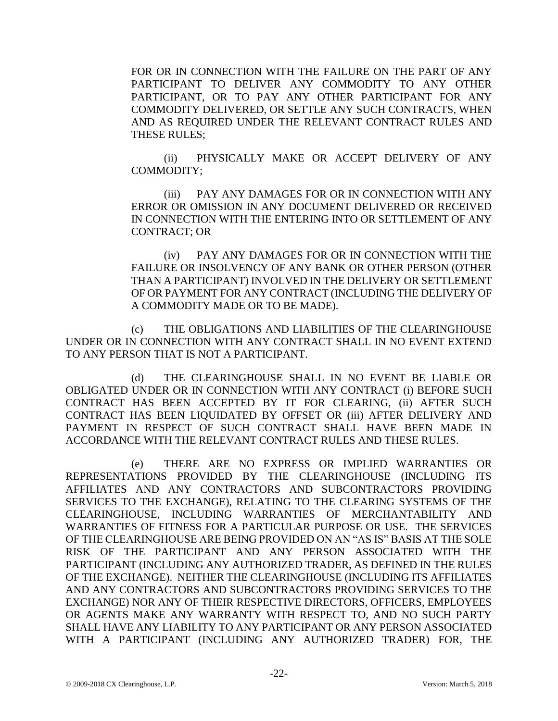FOR OR IN CONNECTION WITH THE FAILURE ON THE PART OF ANY PARTICIPANT TO DELIVER ANY COMMODITY TO ANY OTHER PARTICIPANT, OR TO PAY ANY OTHER PARTICIPANT FOR ANY COMMODITY DELIVERED, OR SETTLE ANY SUCH CONTRACTS, WHEN AND AS REQUIRED UNDER THE RELEVANT CONTRACT RULES AND THESE RULES;

(ii) PHYSICALLY MAKE OR ACCEPT DELIVERY OF ANY COMMODITY;

(iii) PAY ANY DAMAGES FOR OR IN CONNECTION WITH ANY ERROR OR OMISSION IN ANY DOCUMENT DELIVERED OR RECEIVED IN CONNECTION WITH THE ENTERING INTO OR SETTLEMENT OF ANY CONTRACT; OR

(iv) PAY ANY DAMAGES FOR OR IN CONNECTION WITH THE FAILURE OR INSOLVENCY OF ANY BANK OR OTHER PERSON (OTHER THAN A PARTICIPANT) INVOLVED IN THE DELIVERY OR SETTLEMENT OF OR PAYMENT FOR ANY CONTRACT (INCLUDING THE DELIVERY OF A COMMODITY MADE OR TO BE MADE).

(c) THE OBLIGATIONS AND LIABILITIES OF THE CLEARINGHOUSE UNDER OR IN CONNECTION WITH ANY CONTRACT SHALL IN NO EVENT EXTEND TO ANY PERSON THAT IS NOT A PARTICIPANT.

(d) THE CLEARINGHOUSE SHALL IN NO EVENT BE LIABLE OR OBLIGATED UNDER OR IN CONNECTION WITH ANY CONTRACT (i) BEFORE SUCH CONTRACT HAS BEEN ACCEPTED BY IT FOR CLEARING, (ii) AFTER SUCH CONTRACT HAS BEEN LIQUIDATED BY OFFSET OR (iii) AFTER DELIVERY AND PAYMENT IN RESPECT OF SUCH CONTRACT SHALL HAVE BEEN MADE IN ACCORDANCE WITH THE RELEVANT CONTRACT RULES AND THESE RULES.

(e) THERE ARE NO EXPRESS OR IMPLIED WARRANTIES OR REPRESENTATIONS PROVIDED BY THE CLEARINGHOUSE (INCLUDING ITS AFFILIATES AND ANY CONTRACTORS AND SUBCONTRACTORS PROVIDING SERVICES TO THE EXCHANGE), RELATING TO THE CLEARING SYSTEMS OF THE CLEARINGHOUSE, INCLUDING WARRANTIES OF MERCHANTABILITY AND WARRANTIES OF FITNESS FOR A PARTICULAR PURPOSE OR USE. THE SERVICES OF THE CLEARINGHOUSE ARE BEING PROVIDED ON AN "AS IS" BASIS AT THE SOLE RISK OF THE PARTICIPANT AND ANY PERSON ASSOCIATED WITH THE PARTICIPANT (INCLUDING ANY AUTHORIZED TRADER, AS DEFINED IN THE RULES OF THE EXCHANGE). NEITHER THE CLEARINGHOUSE (INCLUDING ITS AFFILIATES AND ANY CONTRACTORS AND SUBCONTRACTORS PROVIDING SERVICES TO THE EXCHANGE) NOR ANY OF THEIR RESPECTIVE DIRECTORS, OFFICERS, EMPLOYEES OR AGENTS MAKE ANY WARRANTY WITH RESPECT TO, AND NO SUCH PARTY SHALL HAVE ANY LIABILITY TO ANY PARTICIPANT OR ANY PERSON ASSOCIATED WITH A PARTICIPANT (INCLUDING ANY AUTHORIZED TRADER) FOR, THE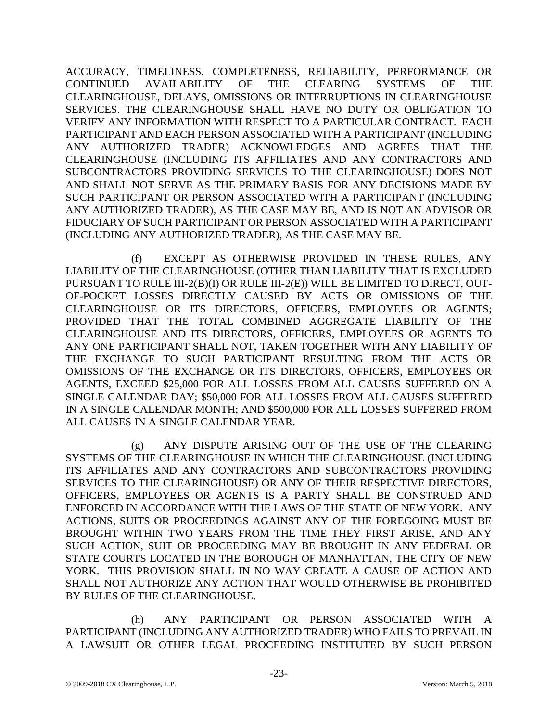ACCURACY, TIMELINESS, COMPLETENESS, RELIABILITY, PERFORMANCE OR CONTINUED AVAILABILITY OF THE CLEARING SYSTEMS OF THE CLEARINGHOUSE, DELAYS, OMISSIONS OR INTERRUPTIONS IN CLEARINGHOUSE SERVICES. THE CLEARINGHOUSE SHALL HAVE NO DUTY OR OBLIGATION TO VERIFY ANY INFORMATION WITH RESPECT TO A PARTICULAR CONTRACT. EACH PARTICIPANT AND EACH PERSON ASSOCIATED WITH A PARTICIPANT (INCLUDING ANY AUTHORIZED TRADER) ACKNOWLEDGES AND AGREES THAT THE CLEARINGHOUSE (INCLUDING ITS AFFILIATES AND ANY CONTRACTORS AND SUBCONTRACTORS PROVIDING SERVICES TO THE CLEARINGHOUSE) DOES NOT AND SHALL NOT SERVE AS THE PRIMARY BASIS FOR ANY DECISIONS MADE BY SUCH PARTICIPANT OR PERSON ASSOCIATED WITH A PARTICIPANT (INCLUDING ANY AUTHORIZED TRADER), AS THE CASE MAY BE, AND IS NOT AN ADVISOR OR FIDUCIARY OF SUCH PARTICIPANT OR PERSON ASSOCIATED WITH A PARTICIPANT (INCLUDING ANY AUTHORIZED TRADER), AS THE CASE MAY BE.

(f) EXCEPT AS OTHERWISE PROVIDED IN THESE RULES, ANY LIABILITY OF THE CLEARINGHOUSE (OTHER THAN LIABILITY THAT IS EXCLUDED PURSUANT TO RULE III-2(B)(I) OR RULE III-2(E)) WILL BE LIMITED TO DIRECT, OUT-OF-POCKET LOSSES DIRECTLY CAUSED BY ACTS OR OMISSIONS OF THE CLEARINGHOUSE OR ITS DIRECTORS, OFFICERS, EMPLOYEES OR AGENTS; PROVIDED THAT THE TOTAL COMBINED AGGREGATE LIABILITY OF THE CLEARINGHOUSE AND ITS DIRECTORS, OFFICERS, EMPLOYEES OR AGENTS TO ANY ONE PARTICIPANT SHALL NOT, TAKEN TOGETHER WITH ANY LIABILITY OF THE EXCHANGE TO SUCH PARTICIPANT RESULTING FROM THE ACTS OR OMISSIONS OF THE EXCHANGE OR ITS DIRECTORS, OFFICERS, EMPLOYEES OR AGENTS, EXCEED \$25,000 FOR ALL LOSSES FROM ALL CAUSES SUFFERED ON A SINGLE CALENDAR DAY; \$50,000 FOR ALL LOSSES FROM ALL CAUSES SUFFERED IN A SINGLE CALENDAR MONTH; AND \$500,000 FOR ALL LOSSES SUFFERED FROM ALL CAUSES IN A SINGLE CALENDAR YEAR.

(g) ANY DISPUTE ARISING OUT OF THE USE OF THE CLEARING SYSTEMS OF THE CLEARINGHOUSE IN WHICH THE CLEARINGHOUSE (INCLUDING ITS AFFILIATES AND ANY CONTRACTORS AND SUBCONTRACTORS PROVIDING SERVICES TO THE CLEARINGHOUSE) OR ANY OF THEIR RESPECTIVE DIRECTORS, OFFICERS, EMPLOYEES OR AGENTS IS A PARTY SHALL BE CONSTRUED AND ENFORCED IN ACCORDANCE WITH THE LAWS OF THE STATE OF NEW YORK. ANY ACTIONS, SUITS OR PROCEEDINGS AGAINST ANY OF THE FOREGOING MUST BE BROUGHT WITHIN TWO YEARS FROM THE TIME THEY FIRST ARISE, AND ANY SUCH ACTION, SUIT OR PROCEEDING MAY BE BROUGHT IN ANY FEDERAL OR STATE COURTS LOCATED IN THE BOROUGH OF MANHATTAN, THE CITY OF NEW YORK. THIS PROVISION SHALL IN NO WAY CREATE A CAUSE OF ACTION AND SHALL NOT AUTHORIZE ANY ACTION THAT WOULD OTHERWISE BE PROHIBITED BY RULES OF THE CLEARINGHOUSE.

(h) ANY PARTICIPANT OR PERSON ASSOCIATED WITH A PARTICIPANT (INCLUDING ANY AUTHORIZED TRADER) WHO FAILS TO PREVAIL IN A LAWSUIT OR OTHER LEGAL PROCEEDING INSTITUTED BY SUCH PERSON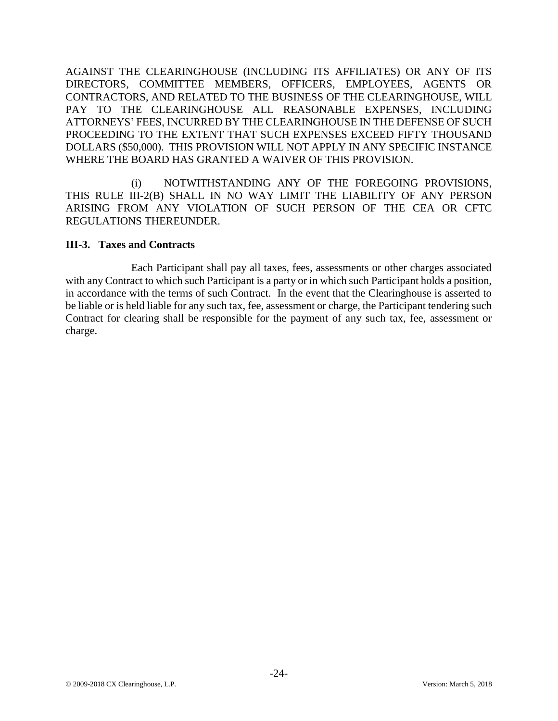AGAINST THE CLEARINGHOUSE (INCLUDING ITS AFFILIATES) OR ANY OF ITS DIRECTORS, COMMITTEE MEMBERS, OFFICERS, EMPLOYEES, AGENTS OR CONTRACTORS, AND RELATED TO THE BUSINESS OF THE CLEARINGHOUSE, WILL PAY TO THE CLEARINGHOUSE ALL REASONABLE EXPENSES, INCLUDING ATTORNEYS' FEES, INCURRED BY THE CLEARINGHOUSE IN THE DEFENSE OF SUCH PROCEEDING TO THE EXTENT THAT SUCH EXPENSES EXCEED FIFTY THOUSAND DOLLARS (\$50,000). THIS PROVISION WILL NOT APPLY IN ANY SPECIFIC INSTANCE WHERE THE BOARD HAS GRANTED A WAIVER OF THIS PROVISION.

(i) NOTWITHSTANDING ANY OF THE FOREGOING PROVISIONS, THIS RULE III-2(B) SHALL IN NO WAY LIMIT THE LIABILITY OF ANY PERSON ARISING FROM ANY VIOLATION OF SUCH PERSON OF THE CEA OR CFTC REGULATIONS THEREUNDER.

# **III-3. Taxes and Contracts**

Each Participant shall pay all taxes, fees, assessments or other charges associated with any Contract to which such Participant is a party or in which such Participant holds a position, in accordance with the terms of such Contract. In the event that the Clearinghouse is asserted to be liable or is held liable for any such tax, fee, assessment or charge, the Participant tendering such Contract for clearing shall be responsible for the payment of any such tax, fee, assessment or charge.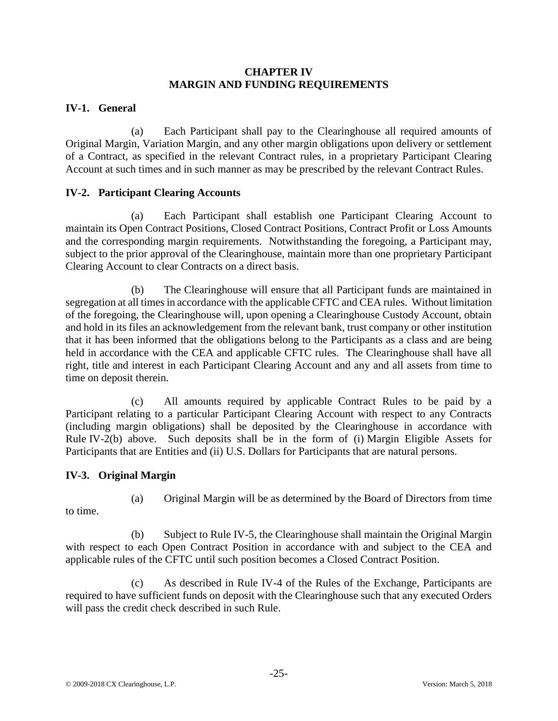#### **CHAPTER IV MARGIN AND FUNDING REQUIREMENTS**

# **IV-1. General**

(a) Each Participant shall pay to the Clearinghouse all required amounts of Original Margin, Variation Margin, and any other margin obligations upon delivery or settlement of a Contract, as specified in the relevant Contract rules, in a proprietary Participant Clearing Account at such times and in such manner as may be prescribed by the relevant Contract Rules.

# **IV-2. Participant Clearing Accounts**

(a) Each Participant shall establish one Participant Clearing Account to maintain its Open Contract Positions, Closed Contract Positions, Contract Profit or Loss Amounts and the corresponding margin requirements. Notwithstanding the foregoing, a Participant may, subject to the prior approval of the Clearinghouse, maintain more than one proprietary Participant Clearing Account to clear Contracts on a direct basis.

(b) The Clearinghouse will ensure that all Participant funds are maintained in segregation at all times in accordance with the applicable CFTC and CEA rules. Without limitation of the foregoing, the Clearinghouse will, upon opening a Clearinghouse Custody Account, obtain and hold in its files an acknowledgement from the relevant bank, trust company or other institution that it has been informed that the obligations belong to the Participants as a class and are being held in accordance with the CEA and applicable CFTC rules. The Clearinghouse shall have all right, title and interest in each Participant Clearing Account and any and all assets from time to time on deposit therein.

(c) All amounts required by applicable Contract Rules to be paid by a Participant relating to a particular Participant Clearing Account with respect to any Contracts (including margin obligations) shall be deposited by the Clearinghouse in accordance with Rule IV-2(b) above. Such deposits shall be in the form of (i) Margin Eligible Assets for Participants that are Entities and (ii) U.S. Dollars for Participants that are natural persons.

# **IV-3. Original Margin**

(a) Original Margin will be as determined by the Board of Directors from time

to time.

(b) Subject to Rule IV-5, the Clearinghouse shall maintain the Original Margin with respect to each Open Contract Position in accordance with and subject to the CEA and applicable rules of the CFTC until such position becomes a Closed Contract Position.

(c) As described in Rule IV-4 of the Rules of the Exchange, Participants are required to have sufficient funds on deposit with the Clearinghouse such that any executed Orders will pass the credit check described in such Rule.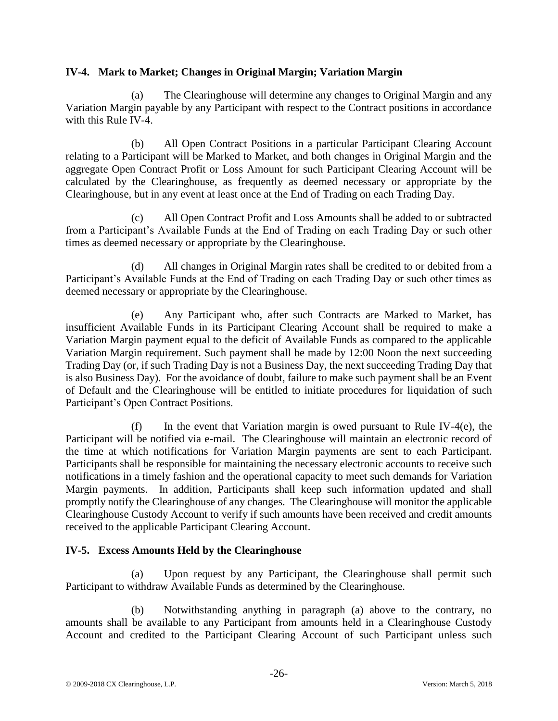# **IV-4. Mark to Market; Changes in Original Margin; Variation Margin**

(a) The Clearinghouse will determine any changes to Original Margin and any Variation Margin payable by any Participant with respect to the Contract positions in accordance with this Rule IV-4.

(b) All Open Contract Positions in a particular Participant Clearing Account relating to a Participant will be Marked to Market, and both changes in Original Margin and the aggregate Open Contract Profit or Loss Amount for such Participant Clearing Account will be calculated by the Clearinghouse, as frequently as deemed necessary or appropriate by the Clearinghouse, but in any event at least once at the End of Trading on each Trading Day.

(c) All Open Contract Profit and Loss Amounts shall be added to or subtracted from a Participant's Available Funds at the End of Trading on each Trading Day or such other times as deemed necessary or appropriate by the Clearinghouse.

(d) All changes in Original Margin rates shall be credited to or debited from a Participant's Available Funds at the End of Trading on each Trading Day or such other times as deemed necessary or appropriate by the Clearinghouse.

(e) Any Participant who, after such Contracts are Marked to Market, has insufficient Available Funds in its Participant Clearing Account shall be required to make a Variation Margin payment equal to the deficit of Available Funds as compared to the applicable Variation Margin requirement. Such payment shall be made by 12:00 Noon the next succeeding Trading Day (or, if such Trading Day is not a Business Day, the next succeeding Trading Day that is also Business Day). For the avoidance of doubt, failure to make such payment shall be an Event of Default and the Clearinghouse will be entitled to initiate procedures for liquidation of such Participant's Open Contract Positions.

(f) In the event that Variation margin is owed pursuant to Rule IV-4 $(e)$ , the Participant will be notified via e-mail. The Clearinghouse will maintain an electronic record of the time at which notifications for Variation Margin payments are sent to each Participant. Participants shall be responsible for maintaining the necessary electronic accounts to receive such notifications in a timely fashion and the operational capacity to meet such demands for Variation Margin payments. In addition, Participants shall keep such information updated and shall promptly notify the Clearinghouse of any changes. The Clearinghouse will monitor the applicable Clearinghouse Custody Account to verify if such amounts have been received and credit amounts received to the applicable Participant Clearing Account.

# **IV-5. Excess Amounts Held by the Clearinghouse**

(a) Upon request by any Participant, the Clearinghouse shall permit such Participant to withdraw Available Funds as determined by the Clearinghouse.

(b) Notwithstanding anything in paragraph (a) above to the contrary, no amounts shall be available to any Participant from amounts held in a Clearinghouse Custody Account and credited to the Participant Clearing Account of such Participant unless such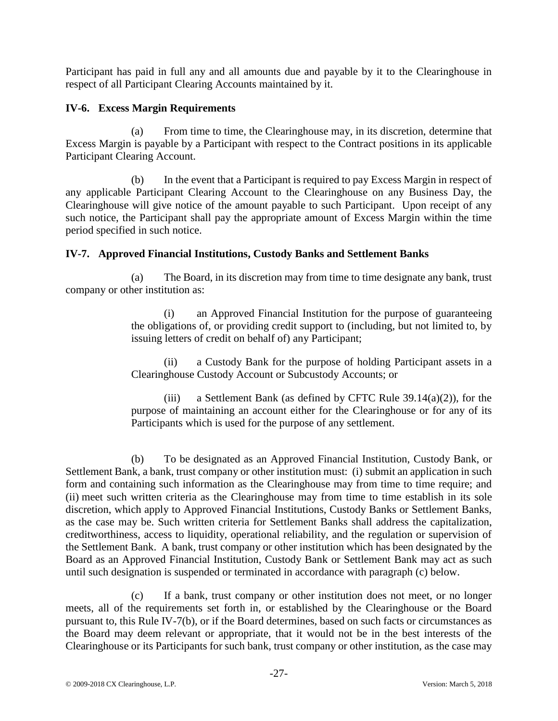Participant has paid in full any and all amounts due and payable by it to the Clearinghouse in respect of all Participant Clearing Accounts maintained by it.

# **IV-6. Excess Margin Requirements**

(a) From time to time, the Clearinghouse may, in its discretion, determine that Excess Margin is payable by a Participant with respect to the Contract positions in its applicable Participant Clearing Account.

(b) In the event that a Participant is required to pay Excess Margin in respect of any applicable Participant Clearing Account to the Clearinghouse on any Business Day, the Clearinghouse will give notice of the amount payable to such Participant. Upon receipt of any such notice, the Participant shall pay the appropriate amount of Excess Margin within the time period specified in such notice.

# **IV-7. Approved Financial Institutions, Custody Banks and Settlement Banks**

(a) The Board, in its discretion may from time to time designate any bank, trust company or other institution as:

> (i) an Approved Financial Institution for the purpose of guaranteeing the obligations of, or providing credit support to (including, but not limited to, by issuing letters of credit on behalf of) any Participant;

> (ii) a Custody Bank for the purpose of holding Participant assets in a Clearinghouse Custody Account or Subcustody Accounts; or

> (iii) a Settlement Bank (as defined by CFTC Rule  $39.14(a)(2)$ ), for the purpose of maintaining an account either for the Clearinghouse or for any of its Participants which is used for the purpose of any settlement.

(b) To be designated as an Approved Financial Institution, Custody Bank, or Settlement Bank, a bank, trust company or other institution must: (i) submit an application in such form and containing such information as the Clearinghouse may from time to time require; and (ii) meet such written criteria as the Clearinghouse may from time to time establish in its sole discretion, which apply to Approved Financial Institutions, Custody Banks or Settlement Banks, as the case may be. Such written criteria for Settlement Banks shall address the capitalization, creditworthiness, access to liquidity, operational reliability, and the regulation or supervision of the Settlement Bank. A bank, trust company or other institution which has been designated by the Board as an Approved Financial Institution, Custody Bank or Settlement Bank may act as such until such designation is suspended or terminated in accordance with paragraph (c) below.

(c) If a bank, trust company or other institution does not meet, or no longer meets, all of the requirements set forth in, or established by the Clearinghouse or the Board pursuant to, this Rule IV-7(b), or if the Board determines, based on such facts or circumstances as the Board may deem relevant or appropriate, that it would not be in the best interests of the Clearinghouse or its Participants for such bank, trust company or other institution, as the case may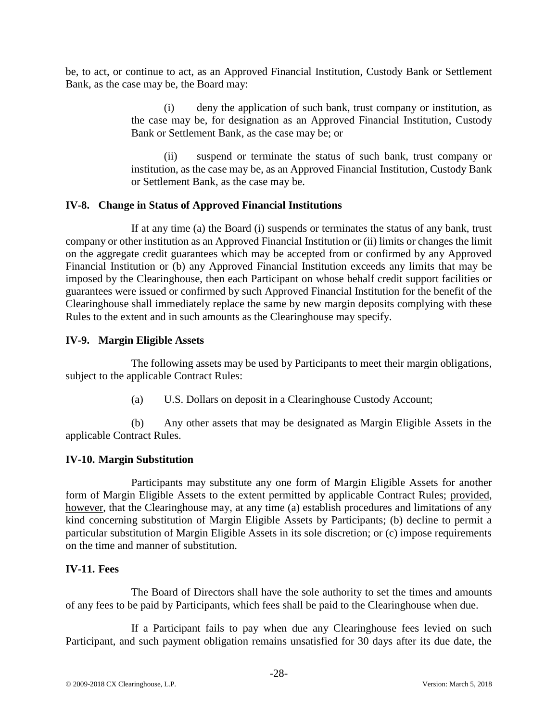be, to act, or continue to act, as an Approved Financial Institution, Custody Bank or Settlement Bank, as the case may be, the Board may:

> (i) deny the application of such bank, trust company or institution, as the case may be, for designation as an Approved Financial Institution, Custody Bank or Settlement Bank, as the case may be; or

> (ii) suspend or terminate the status of such bank, trust company or institution, as the case may be, as an Approved Financial Institution, Custody Bank or Settlement Bank, as the case may be.

# **IV-8. Change in Status of Approved Financial Institutions**

If at any time (a) the Board (i) suspends or terminates the status of any bank, trust company or other institution as an Approved Financial Institution or (ii) limits or changes the limit on the aggregate credit guarantees which may be accepted from or confirmed by any Approved Financial Institution or (b) any Approved Financial Institution exceeds any limits that may be imposed by the Clearinghouse, then each Participant on whose behalf credit support facilities or guarantees were issued or confirmed by such Approved Financial Institution for the benefit of the Clearinghouse shall immediately replace the same by new margin deposits complying with these Rules to the extent and in such amounts as the Clearinghouse may specify.

# **IV-9. Margin Eligible Assets**

The following assets may be used by Participants to meet their margin obligations, subject to the applicable Contract Rules:

(a) U.S. Dollars on deposit in a Clearinghouse Custody Account;

(b) Any other assets that may be designated as Margin Eligible Assets in the applicable Contract Rules.

#### **IV-10. Margin Substitution**

Participants may substitute any one form of Margin Eligible Assets for another form of Margin Eligible Assets to the extent permitted by applicable Contract Rules; provided, however, that the Clearinghouse may, at any time (a) establish procedures and limitations of any kind concerning substitution of Margin Eligible Assets by Participants; (b) decline to permit a particular substitution of Margin Eligible Assets in its sole discretion; or (c) impose requirements on the time and manner of substitution.

#### **IV-11. Fees**

The Board of Directors shall have the sole authority to set the times and amounts of any fees to be paid by Participants, which fees shall be paid to the Clearinghouse when due.

If a Participant fails to pay when due any Clearinghouse fees levied on such Participant, and such payment obligation remains unsatisfied for 30 days after its due date, the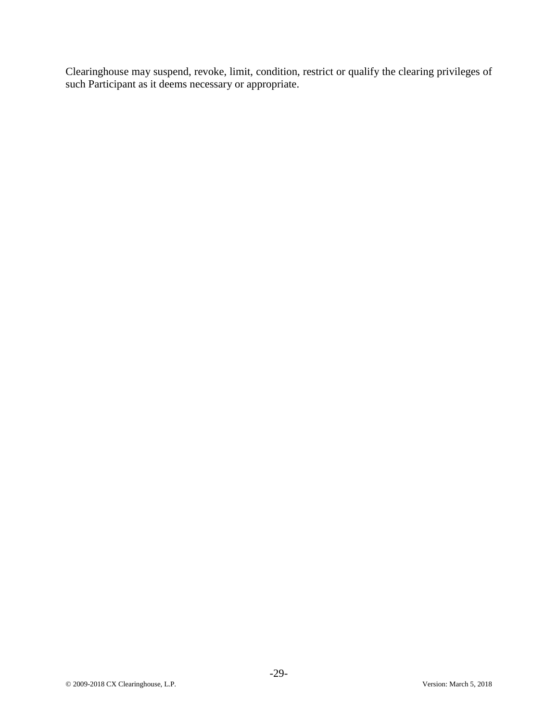Clearinghouse may suspend, revoke, limit, condition, restrict or qualify the clearing privileges of such Participant as it deems necessary or appropriate.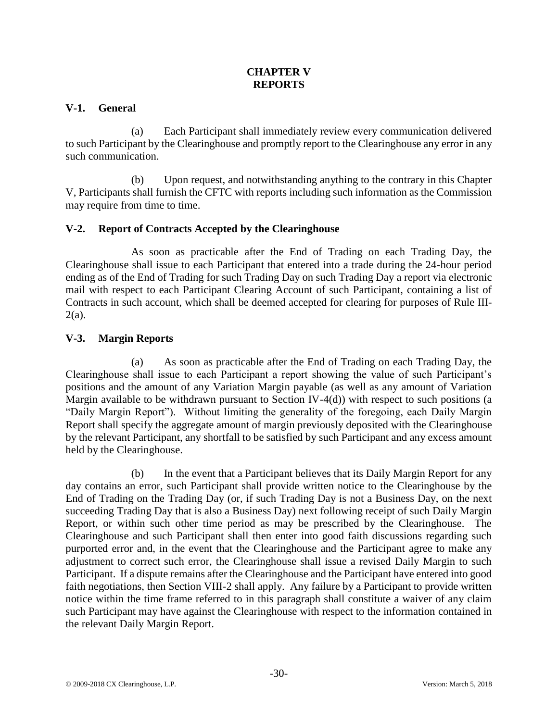# **CHAPTER V REPORTS**

# **V-1. General**

(a) Each Participant shall immediately review every communication delivered to such Participant by the Clearinghouse and promptly report to the Clearinghouse any error in any such communication.

(b) Upon request, and notwithstanding anything to the contrary in this Chapter V, Participants shall furnish the CFTC with reports including such information as the Commission may require from time to time.

# **V-2. Report of Contracts Accepted by the Clearinghouse**

As soon as practicable after the End of Trading on each Trading Day, the Clearinghouse shall issue to each Participant that entered into a trade during the 24-hour period ending as of the End of Trading for such Trading Day on such Trading Day a report via electronic mail with respect to each Participant Clearing Account of such Participant, containing a list of Contracts in such account, which shall be deemed accepted for clearing for purposes of Rule III- $2(a)$ .

# **V-3. Margin Reports**

(a) As soon as practicable after the End of Trading on each Trading Day, the Clearinghouse shall issue to each Participant a report showing the value of such Participant's positions and the amount of any Variation Margin payable (as well as any amount of Variation Margin available to be withdrawn pursuant to Section IV-4(d)) with respect to such positions (a "Daily Margin Report"). Without limiting the generality of the foregoing, each Daily Margin Report shall specify the aggregate amount of margin previously deposited with the Clearinghouse by the relevant Participant, any shortfall to be satisfied by such Participant and any excess amount held by the Clearinghouse.

(b) In the event that a Participant believes that its Daily Margin Report for any day contains an error, such Participant shall provide written notice to the Clearinghouse by the End of Trading on the Trading Day (or, if such Trading Day is not a Business Day, on the next succeeding Trading Day that is also a Business Day) next following receipt of such Daily Margin Report, or within such other time period as may be prescribed by the Clearinghouse. The Clearinghouse and such Participant shall then enter into good faith discussions regarding such purported error and, in the event that the Clearinghouse and the Participant agree to make any adjustment to correct such error, the Clearinghouse shall issue a revised Daily Margin to such Participant. If a dispute remains after the Clearinghouse and the Participant have entered into good faith negotiations, then Section VIII-2 shall apply. Any failure by a Participant to provide written notice within the time frame referred to in this paragraph shall constitute a waiver of any claim such Participant may have against the Clearinghouse with respect to the information contained in the relevant Daily Margin Report.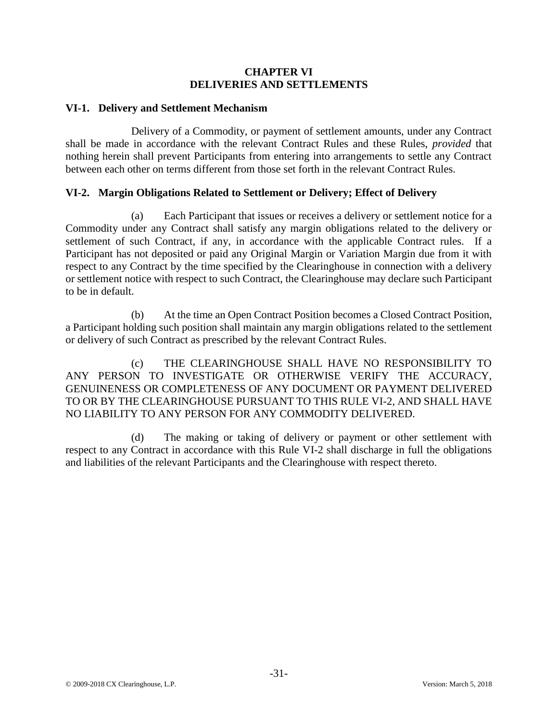### **CHAPTER VI DELIVERIES AND SETTLEMENTS**

### **VI-1. Delivery and Settlement Mechanism**

Delivery of a Commodity, or payment of settlement amounts, under any Contract shall be made in accordance with the relevant Contract Rules and these Rules, *provided* that nothing herein shall prevent Participants from entering into arrangements to settle any Contract between each other on terms different from those set forth in the relevant Contract Rules.

# **VI-2. Margin Obligations Related to Settlement or Delivery; Effect of Delivery**

(a) Each Participant that issues or receives a delivery or settlement notice for a Commodity under any Contract shall satisfy any margin obligations related to the delivery or settlement of such Contract, if any, in accordance with the applicable Contract rules. If a Participant has not deposited or paid any Original Margin or Variation Margin due from it with respect to any Contract by the time specified by the Clearinghouse in connection with a delivery or settlement notice with respect to such Contract, the Clearinghouse may declare such Participant to be in default.

(b) At the time an Open Contract Position becomes a Closed Contract Position, a Participant holding such position shall maintain any margin obligations related to the settlement or delivery of such Contract as prescribed by the relevant Contract Rules.

(c) THE CLEARINGHOUSE SHALL HAVE NO RESPONSIBILITY TO ANY PERSON TO INVESTIGATE OR OTHERWISE VERIFY THE ACCURACY, GENUINENESS OR COMPLETENESS OF ANY DOCUMENT OR PAYMENT DELIVERED TO OR BY THE CLEARINGHOUSE PURSUANT TO THIS RULE VI-2, AND SHALL HAVE NO LIABILITY TO ANY PERSON FOR ANY COMMODITY DELIVERED.

(d) The making or taking of delivery or payment or other settlement with respect to any Contract in accordance with this Rule VI-2 shall discharge in full the obligations and liabilities of the relevant Participants and the Clearinghouse with respect thereto.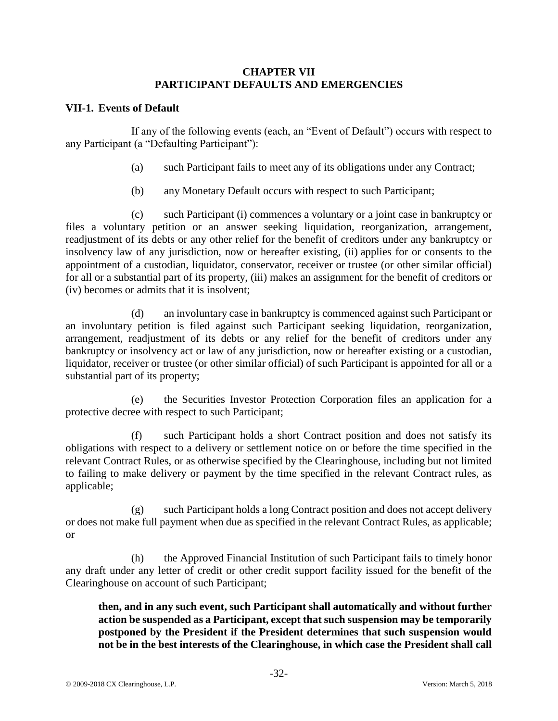#### **CHAPTER VII PARTICIPANT DEFAULTS AND EMERGENCIES**

# **VII-1. Events of Default**

If any of the following events (each, an "Event of Default") occurs with respect to any Participant (a "Defaulting Participant"):

- (a) such Participant fails to meet any of its obligations under any Contract;
- (b) any Monetary Default occurs with respect to such Participant;

(c) such Participant (i) commences a voluntary or a joint case in bankruptcy or files a voluntary petition or an answer seeking liquidation, reorganization, arrangement, readjustment of its debts or any other relief for the benefit of creditors under any bankruptcy or insolvency law of any jurisdiction, now or hereafter existing, (ii) applies for or consents to the appointment of a custodian, liquidator, conservator, receiver or trustee (or other similar official) for all or a substantial part of its property, (iii) makes an assignment for the benefit of creditors or (iv) becomes or admits that it is insolvent;

(d) an involuntary case in bankruptcy is commenced against such Participant or an involuntary petition is filed against such Participant seeking liquidation, reorganization, arrangement, readjustment of its debts or any relief for the benefit of creditors under any bankruptcy or insolvency act or law of any jurisdiction, now or hereafter existing or a custodian, liquidator, receiver or trustee (or other similar official) of such Participant is appointed for all or a substantial part of its property;

(e) the Securities Investor Protection Corporation files an application for a protective decree with respect to such Participant;

(f) such Participant holds a short Contract position and does not satisfy its obligations with respect to a delivery or settlement notice on or before the time specified in the relevant Contract Rules, or as otherwise specified by the Clearinghouse, including but not limited to failing to make delivery or payment by the time specified in the relevant Contract rules, as applicable;

(g) such Participant holds a long Contract position and does not accept delivery or does not make full payment when due as specified in the relevant Contract Rules, as applicable; or

(h) the Approved Financial Institution of such Participant fails to timely honor any draft under any letter of credit or other credit support facility issued for the benefit of the Clearinghouse on account of such Participant;

# **then, and in any such event, such Participant shall automatically and without further action be suspended as a Participant, except that such suspension may be temporarily postponed by the President if the President determines that such suspension would not be in the best interests of the Clearinghouse, in which case the President shall call**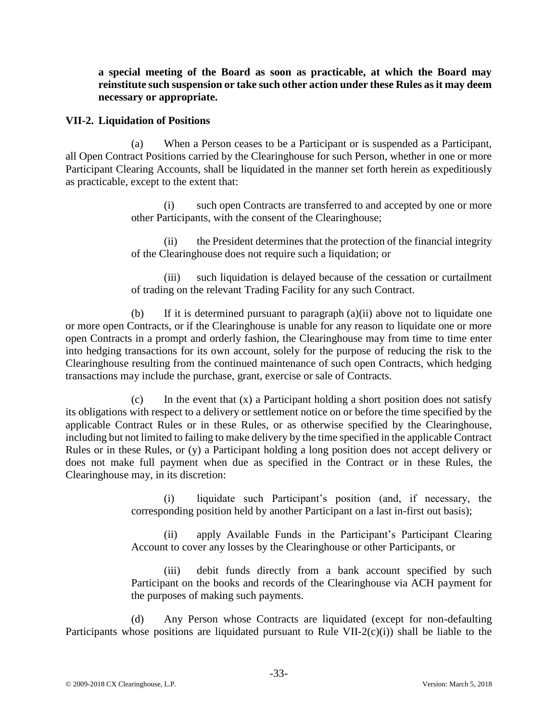**a special meeting of the Board as soon as practicable, at which the Board may reinstitute such suspension or take such other action under these Rules as it may deem necessary or appropriate.**

#### **VII-2. Liquidation of Positions**

(a) When a Person ceases to be a Participant or is suspended as a Participant, all Open Contract Positions carried by the Clearinghouse for such Person, whether in one or more Participant Clearing Accounts, shall be liquidated in the manner set forth herein as expeditiously as practicable, except to the extent that:

> (i) such open Contracts are transferred to and accepted by one or more other Participants, with the consent of the Clearinghouse;

> (ii) the President determines that the protection of the financial integrity of the Clearinghouse does not require such a liquidation; or

> (iii) such liquidation is delayed because of the cessation or curtailment of trading on the relevant Trading Facility for any such Contract.

(b) If it is determined pursuant to paragraph (a)(ii) above not to liquidate one or more open Contracts, or if the Clearinghouse is unable for any reason to liquidate one or more open Contracts in a prompt and orderly fashion, the Clearinghouse may from time to time enter into hedging transactions for its own account, solely for the purpose of reducing the risk to the Clearinghouse resulting from the continued maintenance of such open Contracts, which hedging transactions may include the purchase, grant, exercise or sale of Contracts.

(c) In the event that  $(x)$  a Participant holding a short position does not satisfy its obligations with respect to a delivery or settlement notice on or before the time specified by the applicable Contract Rules or in these Rules, or as otherwise specified by the Clearinghouse, including but not limited to failing to make delivery by the time specified in the applicable Contract Rules or in these Rules, or (y) a Participant holding a long position does not accept delivery or does not make full payment when due as specified in the Contract or in these Rules, the Clearinghouse may, in its discretion:

> (i) liquidate such Participant's position (and, if necessary, the corresponding position held by another Participant on a last in-first out basis);

> (ii) apply Available Funds in the Participant's Participant Clearing Account to cover any losses by the Clearinghouse or other Participants, or

> (iii) debit funds directly from a bank account specified by such Participant on the books and records of the Clearinghouse via ACH payment for the purposes of making such payments.

(d) Any Person whose Contracts are liquidated (except for non-defaulting Participants whose positions are liquidated pursuant to Rule VII-2(c)(i)) shall be liable to the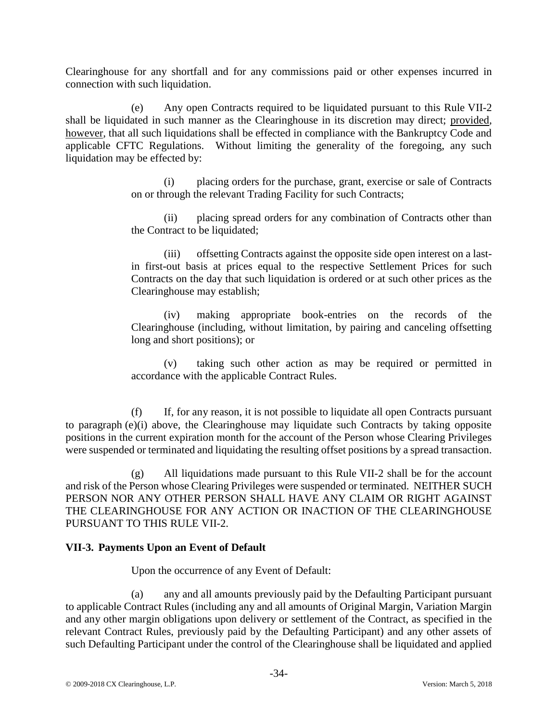Clearinghouse for any shortfall and for any commissions paid or other expenses incurred in connection with such liquidation.

(e) Any open Contracts required to be liquidated pursuant to this Rule VII-2 shall be liquidated in such manner as the Clearinghouse in its discretion may direct; provided*,*  however*,* that all such liquidations shall be effected in compliance with the Bankruptcy Code and applicable CFTC Regulations. Without limiting the generality of the foregoing, any such liquidation may be effected by:

> (i) placing orders for the purchase, grant, exercise or sale of Contracts on or through the relevant Trading Facility for such Contracts;

> (ii) placing spread orders for any combination of Contracts other than the Contract to be liquidated;

> (iii) offsetting Contracts against the opposite side open interest on a lastin first-out basis at prices equal to the respective Settlement Prices for such Contracts on the day that such liquidation is ordered or at such other prices as the Clearinghouse may establish;

> (iv) making appropriate book-entries on the records of the Clearinghouse (including, without limitation, by pairing and canceling offsetting long and short positions); or

> (v) taking such other action as may be required or permitted in accordance with the applicable Contract Rules.

(f) If, for any reason, it is not possible to liquidate all open Contracts pursuant to paragraph (e)(i) above, the Clearinghouse may liquidate such Contracts by taking opposite positions in the current expiration month for the account of the Person whose Clearing Privileges were suspended or terminated and liquidating the resulting offset positions by a spread transaction.

(g) All liquidations made pursuant to this Rule VII-2 shall be for the account and risk of the Person whose Clearing Privileges were suspended or terminated. NEITHER SUCH PERSON NOR ANY OTHER PERSON SHALL HAVE ANY CLAIM OR RIGHT AGAINST THE CLEARINGHOUSE FOR ANY ACTION OR INACTION OF THE CLEARINGHOUSE PURSUANT TO THIS RULE VII-2.

# **VII-3. Payments Upon an Event of Default**

Upon the occurrence of any Event of Default:

(a) any and all amounts previously paid by the Defaulting Participant pursuant to applicable Contract Rules (including any and all amounts of Original Margin, Variation Margin and any other margin obligations upon delivery or settlement of the Contract, as specified in the relevant Contract Rules, previously paid by the Defaulting Participant) and any other assets of such Defaulting Participant under the control of the Clearinghouse shall be liquidated and applied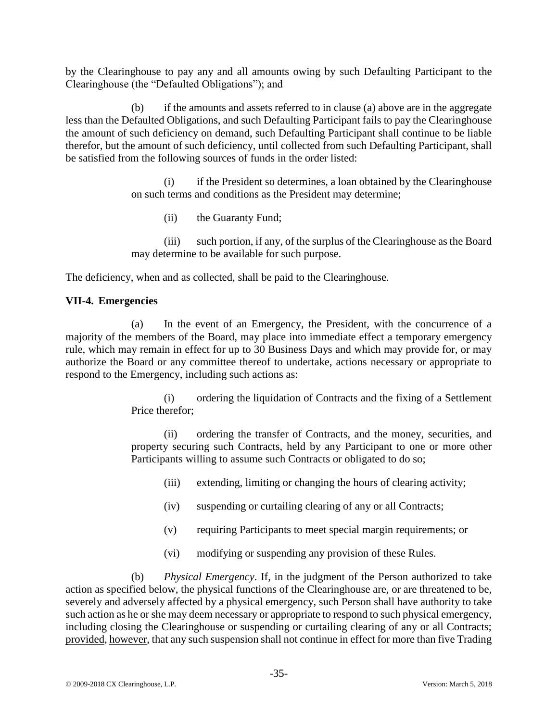by the Clearinghouse to pay any and all amounts owing by such Defaulting Participant to the Clearinghouse (the "Defaulted Obligations"); and

(b) if the amounts and assets referred to in clause (a) above are in the aggregate less than the Defaulted Obligations, and such Defaulting Participant fails to pay the Clearinghouse the amount of such deficiency on demand, such Defaulting Participant shall continue to be liable therefor, but the amount of such deficiency, until collected from such Defaulting Participant, shall be satisfied from the following sources of funds in the order listed:

> (i) if the President so determines, a loan obtained by the Clearinghouse on such terms and conditions as the President may determine;

(ii) the Guaranty Fund;

(iii) such portion, if any, of the surplus of the Clearinghouse as the Board may determine to be available for such purpose.

The deficiency, when and as collected, shall be paid to the Clearinghouse.

# **VII-4. Emergencies**

(a) In the event of an Emergency, the President, with the concurrence of a majority of the members of the Board, may place into immediate effect a temporary emergency rule, which may remain in effect for up to 30 Business Days and which may provide for, or may authorize the Board or any committee thereof to undertake, actions necessary or appropriate to respond to the Emergency, including such actions as:

> (i) ordering the liquidation of Contracts and the fixing of a Settlement Price therefor;

> (ii) ordering the transfer of Contracts, and the money, securities, and property securing such Contracts, held by any Participant to one or more other Participants willing to assume such Contracts or obligated to do so;

- (iii) extending, limiting or changing the hours of clearing activity;
- (iv) suspending or curtailing clearing of any or all Contracts;
- (v) requiring Participants to meet special margin requirements; or
- (vi) modifying or suspending any provision of these Rules.

(b) *Physical Emergency*. If, in the judgment of the Person authorized to take action as specified below, the physical functions of the Clearinghouse are, or are threatened to be, severely and adversely affected by a physical emergency, such Person shall have authority to take such action as he or she may deem necessary or appropriate to respond to such physical emergency, including closing the Clearinghouse or suspending or curtailing clearing of any or all Contracts; provided, however, that any such suspension shall not continue in effect for more than five Trading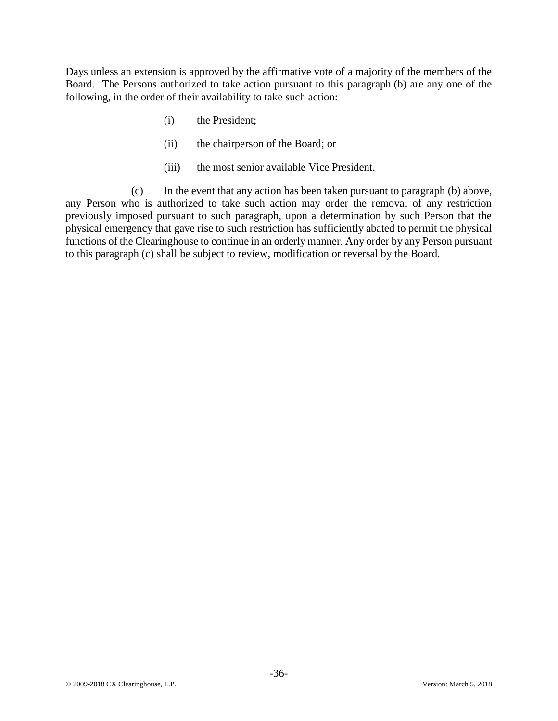Days unless an extension is approved by the affirmative vote of a majority of the members of the Board. The Persons authorized to take action pursuant to this paragraph (b) are any one of the following, in the order of their availability to take such action:

- (i) the President;
- (ii) the chairperson of the Board; or
- (iii) the most senior available Vice President.

(c) In the event that any action has been taken pursuant to paragraph (b) above, any Person who is authorized to take such action may order the removal of any restriction previously imposed pursuant to such paragraph, upon a determination by such Person that the physical emergency that gave rise to such restriction has sufficiently abated to permit the physical functions of the Clearinghouse to continue in an orderly manner. Any order by any Person pursuant to this paragraph (c) shall be subject to review, modification or reversal by the Board.